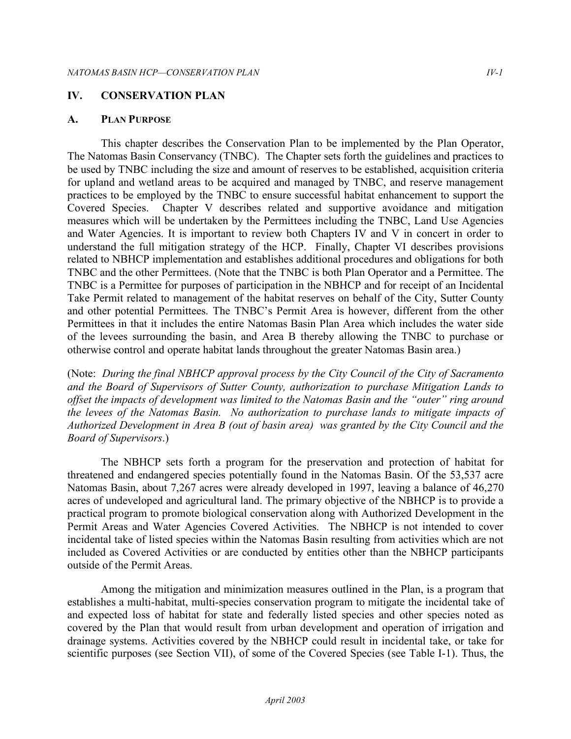## **IV. CONSERVATION PLAN**

## **A. PLAN PURPOSE**

This chapter describes the Conservation Plan to be implemented by the Plan Operator, The Natomas Basin Conservancy (TNBC). The Chapter sets forth the guidelines and practices to be used by TNBC including the size and amount of reserves to be established, acquisition criteria for upland and wetland areas to be acquired and managed by TNBC, and reserve management practices to be employed by the TNBC to ensure successful habitat enhancement to support the Covered Species. Chapter V describes related and supportive avoidance and mitigation measures which will be undertaken by the Permittees including the TNBC, Land Use Agencies and Water Agencies. It is important to review both Chapters IV and V in concert in order to understand the full mitigation strategy of the HCP. Finally, Chapter VI describes provisions related to NBHCP implementation and establishes additional procedures and obligations for both TNBC and the other Permittees. (Note that the TNBC is both Plan Operator and a Permittee. The TNBC is a Permittee for purposes of participation in the NBHCP and for receipt of an Incidental Take Permit related to management of the habitat reserves on behalf of the City, Sutter County and other potential Permittees. The TNBC's Permit Area is however, different from the other Permittees in that it includes the entire Natomas Basin Plan Area which includes the water side of the levees surrounding the basin, and Area B thereby allowing the TNBC to purchase or otherwise control and operate habitat lands throughout the greater Natomas Basin area.)

(Note: *During the final NBHCP approval process by the City Council of the City of Sacramento and the Board of Supervisors of Sutter County, authorization to purchase Mitigation Lands to offset the impacts of development was limited to the Natomas Basin and the "outer" ring around the levees of the Natomas Basin. No authorization to purchase lands to mitigate impacts of Authorized Development in Area B (out of basin area) was granted by the City Council and the Board of Supervisors*.)

The NBHCP sets forth a program for the preservation and protection of habitat for threatened and endangered species potentially found in the Natomas Basin. Of the 53,537 acre Natomas Basin, about 7,267 acres were already developed in 1997, leaving a balance of 46,270 acres of undeveloped and agricultural land. The primary objective of the NBHCP is to provide a practical program to promote biological conservation along with Authorized Development in the Permit Areas and Water Agencies Covered Activities. The NBHCP is not intended to cover incidental take of listed species within the Natomas Basin resulting from activities which are not included as Covered Activities or are conducted by entities other than the NBHCP participants outside of the Permit Areas.

Among the mitigation and minimization measures outlined in the Plan, is a program that establishes a multi-habitat, multi-species conservation program to mitigate the incidental take of and expected loss of habitat for state and federally listed species and other species noted as covered by the Plan that would result from urban development and operation of irrigation and drainage systems. Activities covered by the NBHCP could result in incidental take, or take for scientific purposes (see Section VII), of some of the Covered Species (see Table I-1). Thus, the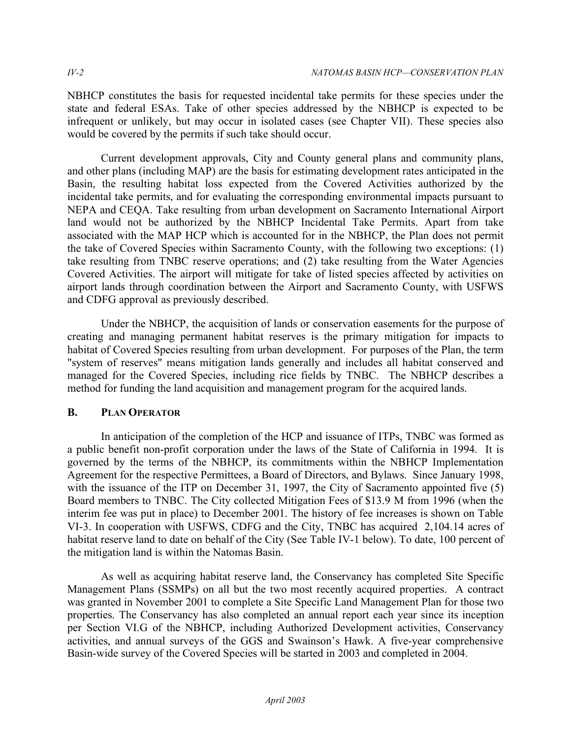NBHCP constitutes the basis for requested incidental take permits for these species under the state and federal ESAs. Take of other species addressed by the NBHCP is expected to be infrequent or unlikely, but may occur in isolated cases (see Chapter VII). These species also would be covered by the permits if such take should occur.

Current development approvals, City and County general plans and community plans, and other plans (including MAP) are the basis for estimating development rates anticipated in the Basin, the resulting habitat loss expected from the Covered Activities authorized by the incidental take permits, and for evaluating the corresponding environmental impacts pursuant to NEPA and CEQA. Take resulting from urban development on Sacramento International Airport land would not be authorized by the NBHCP Incidental Take Permits. Apart from take associated with the MAP HCP which is accounted for in the NBHCP, the Plan does not permit the take of Covered Species within Sacramento County, with the following two exceptions: (1) take resulting from TNBC reserve operations; and (2) take resulting from the Water Agencies Covered Activities. The airport will mitigate for take of listed species affected by activities on airport lands through coordination between the Airport and Sacramento County, with USFWS and CDFG approval as previously described.

Under the NBHCP, the acquisition of lands or conservation easements for the purpose of creating and managing permanent habitat reserves is the primary mitigation for impacts to habitat of Covered Species resulting from urban development. For purposes of the Plan, the term "system of reserves" means mitigation lands generally and includes all habitat conserved and managed for the Covered Species, including rice fields by TNBC. The NBHCP describes a method for funding the land acquisition and management program for the acquired lands.

# **B. PLAN OPERATOR**

In anticipation of the completion of the HCP and issuance of ITPs, TNBC was formed as a public benefit non-profit corporation under the laws of the State of California in 1994. It is governed by the terms of the NBHCP, its commitments within the NBHCP Implementation Agreement for the respective Permittees, a Board of Directors, and Bylaws. Since January 1998, with the issuance of the ITP on December 31, 1997, the City of Sacramento appointed five (5) Board members to TNBC. The City collected Mitigation Fees of \$13.9 M from 1996 (when the interim fee was put in place) to December 2001. The history of fee increases is shown on Table VI-3. In cooperation with USFWS, CDFG and the City, TNBC has acquired 2,104.14 acres of habitat reserve land to date on behalf of the City (See Table IV-1 below). To date, 100 percent of the mitigation land is within the Natomas Basin.

As well as acquiring habitat reserve land, the Conservancy has completed Site Specific Management Plans (SSMPs) on all but the two most recently acquired properties. A contract was granted in November 2001 to complete a Site Specific Land Management Plan for those two properties. The Conservancy has also completed an annual report each year since its inception per Section VI.G of the NBHCP, including Authorized Development activities, Conservancy activities, and annual surveys of the GGS and Swainson's Hawk. A five-year comprehensive Basin-wide survey of the Covered Species will be started in 2003 and completed in 2004.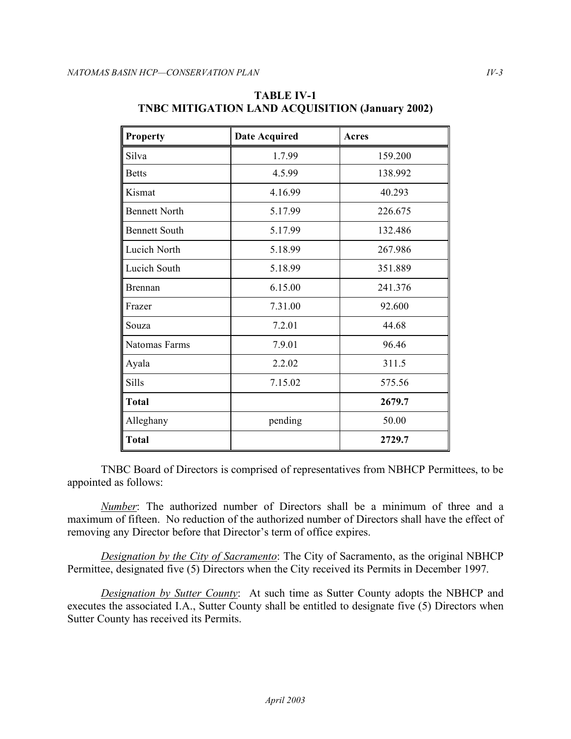| <b>Property</b>      | <b>Date Acquired</b> | Acres   |
|----------------------|----------------------|---------|
| Silva                | 1.7.99               | 159.200 |
| <b>Betts</b>         | 4.5.99               | 138.992 |
| Kismat               | 4.16.99              | 40.293  |
| <b>Bennett North</b> | 5.17.99              | 226.675 |
| <b>Bennett South</b> | 5.17.99              | 132.486 |
| Lucich North         | 5.18.99              | 267.986 |
| Lucich South         | 5.18.99              | 351.889 |
| Brennan              | 6.15.00              | 241.376 |
| Frazer               | 7.31.00              | 92.600  |
| Souza                | 7.2.01               | 44.68   |
| Natomas Farms        | 7.9.01               | 96.46   |
| Ayala                | 2.2.02               | 311.5   |
| Sills                | 7.15.02              | 575.56  |
| <b>Total</b>         |                      | 2679.7  |
| Alleghany            | pending              | 50.00   |
| <b>Total</b>         |                      | 2729.7  |

## **TNBC MITIGATION LAND ACQUISITION (January 2002) TABLE IV-1**

TNBC Board of Directors is comprised of representatives from NBHCP Permittees, to be appointed as follows:

 *Number*: The authorized number of Directors shall be a minimum of three and a maximum of fifteen. No reduction of the authorized number of Directors shall have the effect of removing any Director before that Director's term of office expires.

*Designation by the City of Sacramento*: The City of Sacramento, as the original NBHCP Permittee, designated five (5) Directors when the City received its Permits in December 1997.

*Designation by Sutter County*: At such time as Sutter County adopts the NBHCP and executes the associated I.A., Sutter County shall be entitled to designate five (5) Directors when Sutter County has received its Permits.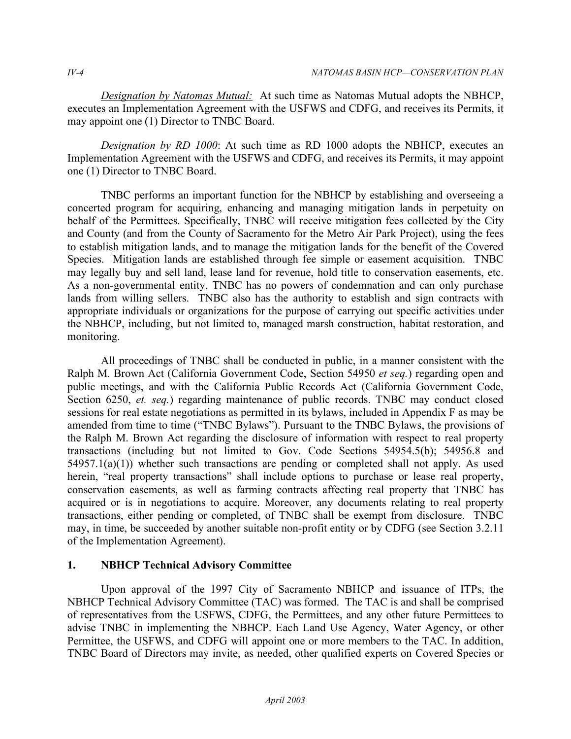*Designation by Natomas Mutual:* At such time as Natomas Mutual adopts the NBHCP, executes an Implementation Agreement with the USFWS and CDFG, and receives its Permits, it may appoint one (1) Director to TNBC Board.

*Designation by RD 1000*: At such time as RD 1000 adopts the NBHCP, executes an Implementation Agreement with the USFWS and CDFG, and receives its Permits, it may appoint one (1) Director to TNBC Board.

TNBC performs an important function for the NBHCP by establishing and overseeing a concerted program for acquiring, enhancing and managing mitigation lands in perpetuity on behalf of the Permittees. Specifically, TNBC will receive mitigation fees collected by the City and County (and from the County of Sacramento for the Metro Air Park Project), using the fees to establish mitigation lands, and to manage the mitigation lands for the benefit of the Covered Species. Mitigation lands are established through fee simple or easement acquisition. TNBC may legally buy and sell land, lease land for revenue, hold title to conservation easements, etc. As a non-governmental entity, TNBC has no powers of condemnation and can only purchase lands from willing sellers. TNBC also has the authority to establish and sign contracts with appropriate individuals or organizations for the purpose of carrying out specific activities under the NBHCP, including, but not limited to, managed marsh construction, habitat restoration, and monitoring.

All proceedings of TNBC shall be conducted in public, in a manner consistent with the Ralph M. Brown Act (California Government Code, Section 54950 *et seq.*) regarding open and public meetings, and with the California Public Records Act (California Government Code, Section 6250, *et. seq.*) regarding maintenance of public records. TNBC may conduct closed sessions for real estate negotiations as permitted in its bylaws, included in Appendix F as may be amended from time to time ("TNBC Bylaws"). Pursuant to the TNBC Bylaws, the provisions of the Ralph M. Brown Act regarding the disclosure of information with respect to real property transactions (including but not limited to Gov. Code Sections 54954.5(b); 54956.8 and  $54957.1(a)(1)$ ) whether such transactions are pending or completed shall not apply. As used herein, "real property transactions" shall include options to purchase or lease real property, conservation easements, as well as farming contracts affecting real property that TNBC has acquired or is in negotiations to acquire. Moreover, any documents relating to real property transactions, either pending or completed, of TNBC shall be exempt from disclosure. TNBC may, in time, be succeeded by another suitable non-profit entity or by CDFG (see Section 3.2.11 of the Implementation Agreement).

# **1. NBHCP Technical Advisory Committee**

Upon approval of the 1997 City of Sacramento NBHCP and issuance of ITPs, the NBHCP Technical Advisory Committee (TAC) was formed. The TAC is and shall be comprised of representatives from the USFWS, CDFG, the Permittees, and any other future Permittees to advise TNBC in implementing the NBHCP. Each Land Use Agency, Water Agency, or other Permittee, the USFWS, and CDFG will appoint one or more members to the TAC. In addition, TNBC Board of Directors may invite, as needed, other qualified experts on Covered Species or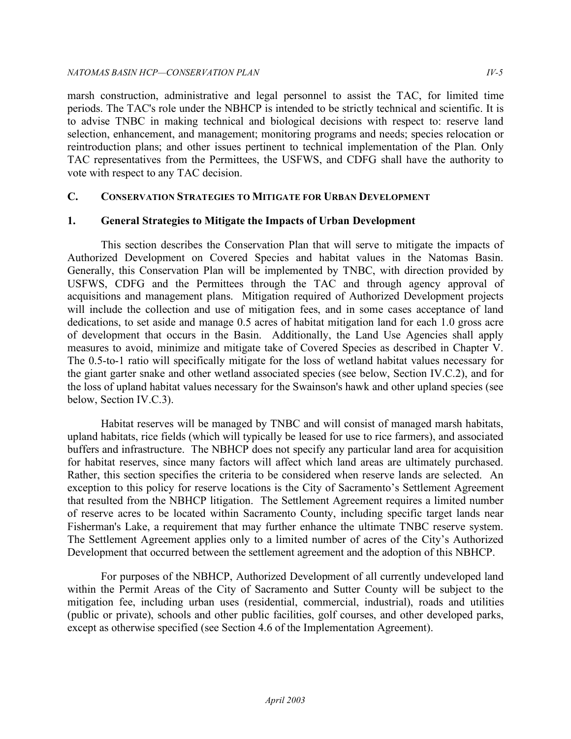marsh construction, administrative and legal personnel to assist the TAC, for limited time periods. The TAC's role under the NBHCP is intended to be strictly technical and scientific. It is to advise TNBC in making technical and biological decisions with respect to: reserve land selection, enhancement, and management; monitoring programs and needs; species relocation or reintroduction plans; and other issues pertinent to technical implementation of the Plan. Only TAC representatives from the Permittees, the USFWS, and CDFG shall have the authority to vote with respect to any TAC decision.

# **C. CONSERVATION STRATEGIES TO MITIGATE FOR URBAN DEVELOPMENT**

# **1. General Strategies to Mitigate the Impacts of Urban Development**

This section describes the Conservation Plan that will serve to mitigate the impacts of Authorized Development on Covered Species and habitat values in the Natomas Basin. Generally, this Conservation Plan will be implemented by TNBC, with direction provided by USFWS, CDFG and the Permittees through the TAC and through agency approval of acquisitions and management plans. Mitigation required of Authorized Development projects will include the collection and use of mitigation fees, and in some cases acceptance of land dedications, to set aside and manage 0.5 acres of habitat mitigation land for each 1.0 gross acre of development that occurs in the Basin. Additionally, the Land Use Agencies shall apply measures to avoid, minimize and mitigate take of Covered Species as described in Chapter V. The 0.5-to-1 ratio will specifically mitigate for the loss of wetland habitat values necessary for the giant garter snake and other wetland associated species (see below, Section IV.C.2), and for the loss of upland habitat values necessary for the Swainson's hawk and other upland species (see below, Section IV.C.3).

Habitat reserves will be managed by TNBC and will consist of managed marsh habitats, upland habitats, rice fields (which will typically be leased for use to rice farmers), and associated buffers and infrastructure. The NBHCP does not specify any particular land area for acquisition for habitat reserves, since many factors will affect which land areas are ultimately purchased. Rather, this section specifies the criteria to be considered when reserve lands are selected. An exception to this policy for reserve locations is the City of Sacramento's Settlement Agreement that resulted from the NBHCP litigation. The Settlement Agreement requires a limited number of reserve acres to be located within Sacramento County, including specific target lands near Fisherman's Lake, a requirement that may further enhance the ultimate TNBC reserve system. The Settlement Agreement applies only to a limited number of acres of the City's Authorized Development that occurred between the settlement agreement and the adoption of this NBHCP.

For purposes of the NBHCP, Authorized Development of all currently undeveloped land within the Permit Areas of the City of Sacramento and Sutter County will be subject to the mitigation fee, including urban uses (residential, commercial, industrial), roads and utilities (public or private), schools and other public facilities, golf courses, and other developed parks, except as otherwise specified (see Section 4.6 of the Implementation Agreement).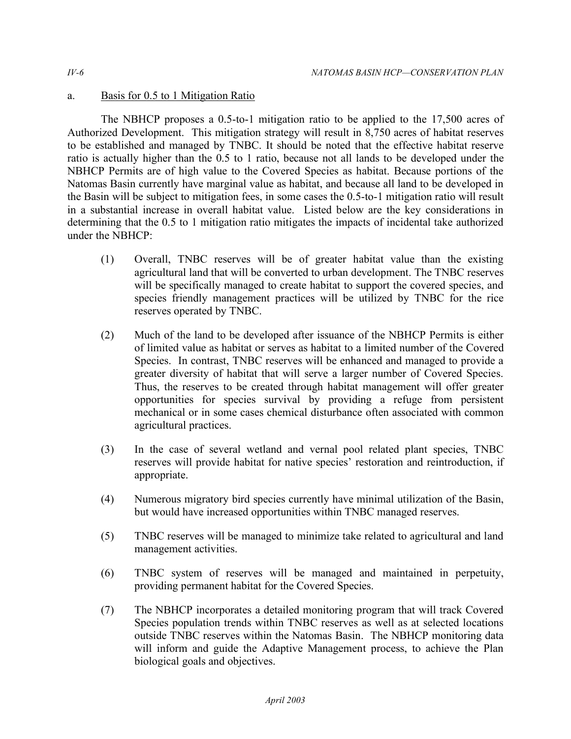# a. Basis for 0.5 to 1 Mitigation Ratio

The NBHCP proposes a 0.5-to-1 mitigation ratio to be applied to the 17,500 acres of Authorized Development. This mitigation strategy will result in 8,750 acres of habitat reserves to be established and managed by TNBC. It should be noted that the effective habitat reserve ratio is actually higher than the 0.5 to 1 ratio, because not all lands to be developed under the NBHCP Permits are of high value to the Covered Species as habitat. Because portions of the Natomas Basin currently have marginal value as habitat, and because all land to be developed in the Basin will be subject to mitigation fees, in some cases the 0.5-to-1 mitigation ratio will result in a substantial increase in overall habitat value. Listed below are the key considerations in determining that the 0.5 to 1 mitigation ratio mitigates the impacts of incidental take authorized under the NBHCP:

- (1) Overall, TNBC reserves will be of greater habitat value than the existing agricultural land that will be converted to urban development. The TNBC reserves will be specifically managed to create habitat to support the covered species, and species friendly management practices will be utilized by TNBC for the rice reserves operated by TNBC.
- (2) Much of the land to be developed after issuance of the NBHCP Permits is either of limited value as habitat or serves as habitat to a limited number of the Covered Species. In contrast, TNBC reserves will be enhanced and managed to provide a greater diversity of habitat that will serve a larger number of Covered Species. Thus, the reserves to be created through habitat management will offer greater opportunities for species survival by providing a refuge from persistent mechanical or in some cases chemical disturbance often associated with common agricultural practices.
- (3) In the case of several wetland and vernal pool related plant species, TNBC reserves will provide habitat for native species' restoration and reintroduction, if appropriate.
- (4) Numerous migratory bird species currently have minimal utilization of the Basin, but would have increased opportunities within TNBC managed reserves.
- (5) TNBC reserves will be managed to minimize take related to agricultural and land management activities.
- (6) TNBC system of reserves will be managed and maintained in perpetuity, providing permanent habitat for the Covered Species.
- (7) The NBHCP incorporates a detailed monitoring program that will track Covered Species population trends within TNBC reserves as well as at selected locations outside TNBC reserves within the Natomas Basin. The NBHCP monitoring data will inform and guide the Adaptive Management process, to achieve the Plan biological goals and objectives.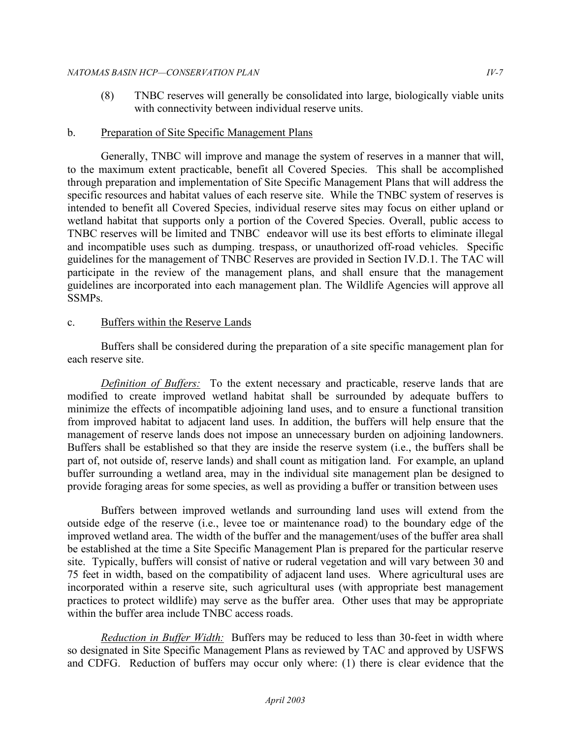#### *NATOMAS BASIN HCP—CONSERVATION PLAN IV-7*

 (8) TNBC reserves will generally be consolidated into large, biologically viable units with connectivity between individual reserve units.

## b. Preparation of Site Specific Management Plans

Generally, TNBC will improve and manage the system of reserves in a manner that will, to the maximum extent practicable, benefit all Covered Species. This shall be accomplished through preparation and implementation of Site Specific Management Plans that will address the specific resources and habitat values of each reserve site. While the TNBC system of reserves is intended to benefit all Covered Species, individual reserve sites may focus on either upland or wetland habitat that supports only a portion of the Covered Species. Overall, public access to TNBC reserves will be limited and TNBC endeavor will use its best efforts to eliminate illegal and incompatible uses such as dumping. trespass, or unauthorized off-road vehicles. Specific guidelines for the management of TNBC Reserves are provided in Section IV.D.1. The TAC will participate in the review of the management plans, and shall ensure that the management guidelines are incorporated into each management plan. The Wildlife Agencies will approve all SSMPs.

### c. Buffers within the Reserve Lands

Buffers shall be considered during the preparation of a site specific management plan for each reserve site.

*Definition of Buffers:* To the extent necessary and practicable, reserve lands that are modified to create improved wetland habitat shall be surrounded by adequate buffers to minimize the effects of incompatible adjoining land uses, and to ensure a functional transition from improved habitat to adjacent land uses. In addition, the buffers will help ensure that the management of reserve lands does not impose an unnecessary burden on adjoining landowners. Buffers shall be established so that they are inside the reserve system (i.e., the buffers shall be part of, not outside of, reserve lands) and shall count as mitigation land. For example, an upland buffer surrounding a wetland area, may in the individual site management plan be designed to provide foraging areas for some species, as well as providing a buffer or transition between uses

Buffers between improved wetlands and surrounding land uses will extend from the outside edge of the reserve (i.e., levee toe or maintenance road) to the boundary edge of the improved wetland area. The width of the buffer and the management/uses of the buffer area shall be established at the time a Site Specific Management Plan is prepared for the particular reserve site. Typically, buffers will consist of native or ruderal vegetation and will vary between 30 and 75 feet in width, based on the compatibility of adjacent land uses. Where agricultural uses are incorporated within a reserve site, such agricultural uses (with appropriate best management practices to protect wildlife) may serve as the buffer area. Other uses that may be appropriate within the buffer area include TNBC access roads.

*Reduction in Buffer Width:* Buffers may be reduced to less than 30-feet in width where so designated in Site Specific Management Plans as reviewed by TAC and approved by USFWS and CDFG. Reduction of buffers may occur only where: (1) there is clear evidence that the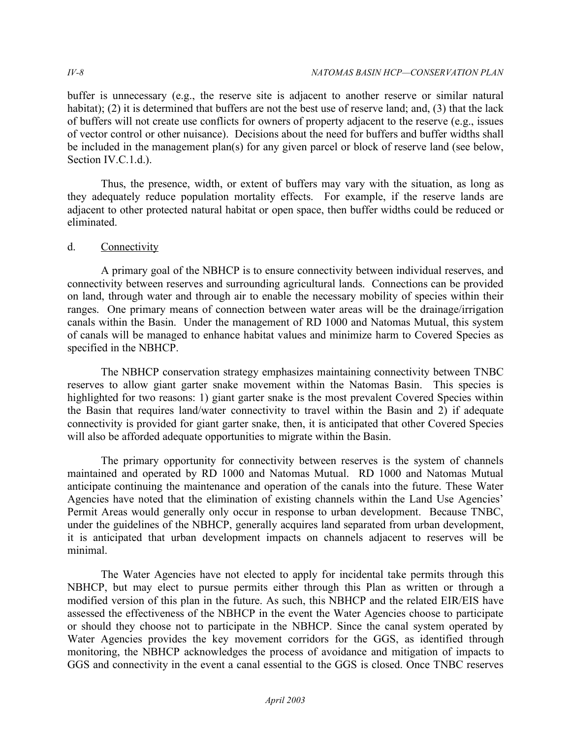buffer is unnecessary (e.g., the reserve site is adjacent to another reserve or similar natural habitat); (2) it is determined that buffers are not the best use of reserve land; and, (3) that the lack of buffers will not create use conflicts for owners of property adjacent to the reserve (e.g., issues of vector control or other nuisance). Decisions about the need for buffers and buffer widths shall be included in the management plan(s) for any given parcel or block of reserve land (see below, Section IV.C.1.d.).

Thus, the presence, width, or extent of buffers may vary with the situation, as long as they adequately reduce population mortality effects. For example, if the reserve lands are adjacent to other protected natural habitat or open space, then buffer widths could be reduced or eliminated.

# d. Connectivity

A primary goal of the NBHCP is to ensure connectivity between individual reserves, and connectivity between reserves and surrounding agricultural lands. Connections can be provided on land, through water and through air to enable the necessary mobility of species within their ranges. One primary means of connection between water areas will be the drainage/irrigation canals within the Basin. Under the management of RD 1000 and Natomas Mutual, this system of canals will be managed to enhance habitat values and minimize harm to Covered Species as specified in the NBHCP.

The NBHCP conservation strategy emphasizes maintaining connectivity between TNBC reserves to allow giant garter snake movement within the Natomas Basin. This species is highlighted for two reasons: 1) giant garter snake is the most prevalent Covered Species within the Basin that requires land/water connectivity to travel within the Basin and 2) if adequate connectivity is provided for giant garter snake, then, it is anticipated that other Covered Species will also be afforded adequate opportunities to migrate within the Basin.

The primary opportunity for connectivity between reserves is the system of channels maintained and operated by RD 1000 and Natomas Mutual. RD 1000 and Natomas Mutual anticipate continuing the maintenance and operation of the canals into the future. These Water Agencies have noted that the elimination of existing channels within the Land Use Agencies' Permit Areas would generally only occur in response to urban development. Because TNBC, under the guidelines of the NBHCP, generally acquires land separated from urban development, it is anticipated that urban development impacts on channels adjacent to reserves will be minimal.

The Water Agencies have not elected to apply for incidental take permits through this NBHCP, but may elect to pursue permits either through this Plan as written or through a modified version of this plan in the future. As such, this NBHCP and the related EIR/EIS have assessed the effectiveness of the NBHCP in the event the Water Agencies choose to participate or should they choose not to participate in the NBHCP. Since the canal system operated by Water Agencies provides the key movement corridors for the GGS, as identified through monitoring, the NBHCP acknowledges the process of avoidance and mitigation of impacts to GGS and connectivity in the event a canal essential to the GGS is closed. Once TNBC reserves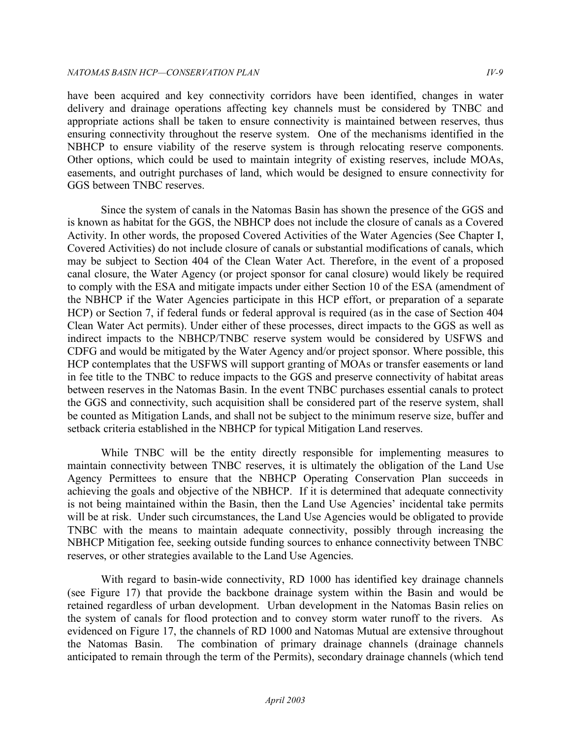#### *NATOMAS BASIN HCP —CONSERVATION PLAN IV-9*

have been acquired and key connectivity corridors have been identified, changes in water delivery and drainage operations affecting key channels must be considered by TNBC and appropriate actions shall be taken to ensure connectivity is maintained between reserves, thus ensuring connectivity throughout the reserve system. One of the mechanisms identified in the NBHCP to ensure viability of the reserve system is through relocating reserve components. Other options, which could be used to maintain integrity of existing reserves, include MOAs, easements, and outright purchases of land, which would be designed to ensure connectivity for GGS between TNBC reserves.

Since the system of canals in the Natomas Basin has shown the presence of the GGS and is known as habitat for the GGS, the NBHCP does not include the closure of canals as a Covered Activity. In other words, the proposed Covered Activities of the Water Agencies (See Chapter I, Covered Activities) do not include closure of canals or substantial modifications of canals, which may be subject to Section 404 of the Clean Water Act. Therefore, in the event of a proposed canal closure, the Water Agency (or project sponsor for canal closure) would likely be required to comply with the ESA and mitigate impacts under either Section 10 of the ESA (amendment of the NBHCP if the Water Agencies participate in this HCP effort, or preparation of a separate HCP) or Section 7, if federal funds or federal approval is required (as in the case of Section 404 Clean Water Act permits). Under either of these processes, direct impacts to the GGS as well as indirect impacts to the NBHCP/TNBC reserve system would be considered by USFWS and CDFG and would be mitigated by the Water Agency and/or project sponsor. Where possible, this HCP contemplates that the USFWS will support granting of MOAs or transfer easements or land in fee title to the TNBC to reduce impacts to the GGS and preserve connectivity of habitat areas between reserves in the Natomas Basin. In the event TNBC purchases essential canals to protect the GGS and connectivity, such acquisition shall be considered part of the reserve system, shall be counted as Mitigation Lands, and shall not be subject to the minimum reserve size, buffer and setback criteria established in the NBHCP for typical Mitigation Land reserves.

While TNBC will be the entity directly responsible for implementing measures to maintain connectivity between TNBC reserves, it is ultimately the obligation of the Land Use Agency Permittees to ensure that the NBHCP Operating Conservation Plan succeeds in achieving the goals and objective of the NBHCP. If it is determined that adequate connectivity is not being maintained within the Basin, then the Land Use Agencies' incidental take permits will be at risk. Under such circumstances, the Land Use Agencies would be obligated to provide TNBC with the means to maintain adequate connectivity, possibly through increasing the NBHCP Mitigation fee, seeking outside funding sources to enhance connectivity between TNBC reserves, or other strategies available to the Land Use Agencies.

With regard to basin-wide connectivity, RD 1000 has identified key drainage channels (see Figure 17) that provide the backbone drainage system within the Basin and would be retained regardless of urban development. Urban development in the Natomas Basin relies on the system of canals for flood protection and to convey storm water runoff to the rivers. As evidenced on Figure 17, the channels of RD 1000 and Natomas Mutual are extensive throughout the Natomas Basin. The combination of primary drainage channels (drainage channels anticipated to remain through the term of the Permits), secondary drainage channels (which tend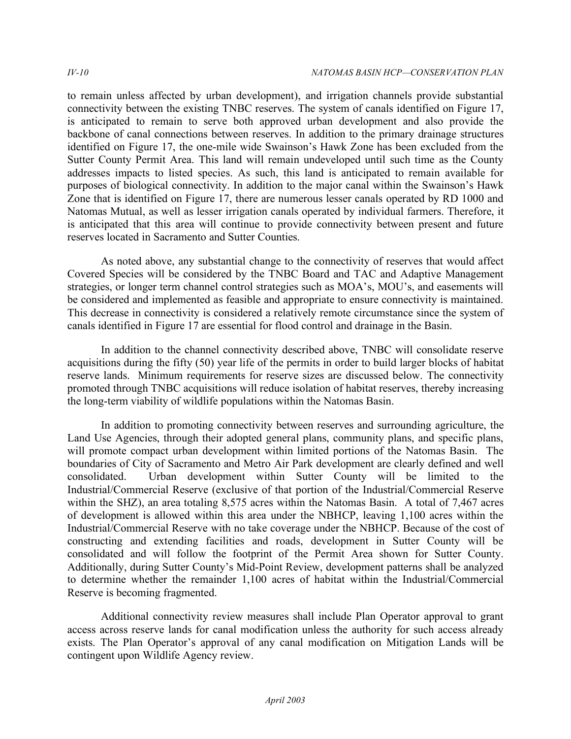to remain unless affected by urban development), and irrigation channels provide substantial connectivity between the existing TNBC reserves. The system of canals identified on Figure 17, is anticipated to remain to serve both approved urban development and also provide the backbone of canal connections between reserves. In addition to the primary drainage structures identified on Figure 17, the one-mile wide Swainson's Hawk Zone has been excluded from the Sutter County Permit Area. This land will remain undeveloped until such time as the County addresses impacts to listed species. As such, this land is anticipated to remain available for purposes of biological connectivity. In addition to the major canal within the Swainson's Hawk Zone that is identified on Figure 17, there are numerous lesser canals operated by RD 1000 and Natomas Mutual, as well as lesser irrigation canals operated by individual farmers. Therefore, it is anticipated that this area will continue to provide connectivity between present and future reserves located in Sacramento and Sutter Counties.

As noted above, any substantial change to the connectivity of reserves that would affect Covered Species will be considered by the TNBC Board and TAC and Adaptive Management strategies, or longer term channel control strategies such as MOA's, MOU's, and easements will be considered and implemented as feasible and appropriate to ensure connectivity is maintained. This decrease in connectivity is considered a relatively remote circumstance since the system of canals identified in Figure 17 are essential for flood control and drainage in the Basin.

In addition to the channel connectivity described above, TNBC will consolidate reserve acquisitions during the fifty (50) year life of the permits in order to build larger blocks of habitat reserve lands. Minimum requirements for reserve sizes are discussed below. The connectivity promoted through TNBC acquisitions will reduce isolation of habitat reserves, thereby increasing the long-term viability of wildlife populations within the Natomas Basin.

In addition to promoting connectivity between reserves and surrounding agriculture, the Land Use Agencies, through their adopted general plans, community plans, and specific plans, will promote compact urban development within limited portions of the Natomas Basin. The boundaries of City of Sacramento and Metro Air Park development are clearly defined and well consolidated. Urban development within Sutter County will be limited to the Industrial/Commercial Reserve (exclusive of that portion of the Industrial/Commercial Reserve within the SHZ), an area totaling 8,575 acres within the Natomas Basin. A total of 7,467 acres of development is allowed within this area under the NBHCP, leaving 1,100 acres within the Industrial/Commercial Reserve with no take coverage under the NBHCP. Because of the cost of constructing and extending facilities and roads, development in Sutter County will be consolidated and will follow the footprint of the Permit Area shown for Sutter County. Additionally, during Sutter County's Mid-Point Review, development patterns shall be analyzed to determine whether the remainder 1,100 acres of habitat within the Industrial/Commercial Reserve is becoming fragmented.

Additional connectivity review measures shall include Plan Operator approval to grant access across reserve lands for canal modification unless the authority for such access already exists. The Plan Operator's approval of any canal modification on Mitigation Lands will be contingent upon Wildlife Agency review.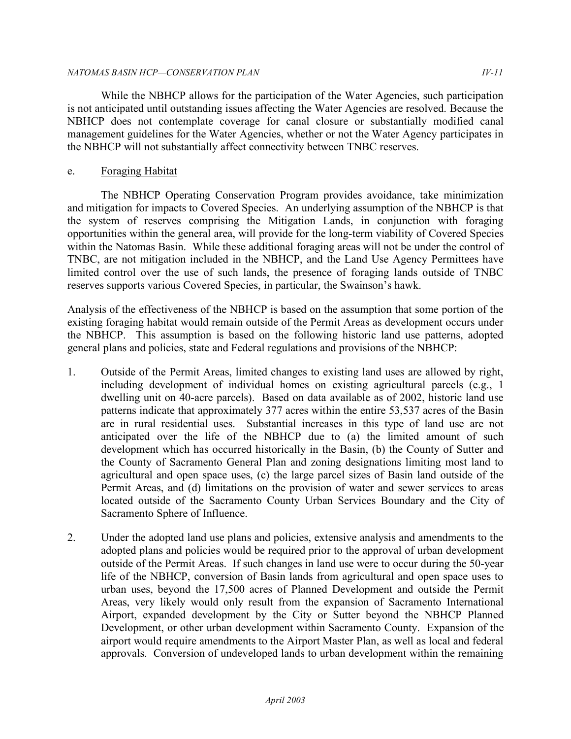### *NATOMAS BASIN HCP—CONSERVATION PLAN IV-11*

While the NBHCP allows for the participation of the Water Agencies, such participation is not anticipated until outstanding issues affecting the Water Agencies are resolved. Because the NBHCP does not contemplate coverage for canal closure or substantially modified canal management guidelines for the Water Agencies, whether or not the Water Agency participates in the NBHCP will not substantially affect connectivity between TNBC reserves.

# e. Foraging Habitat

The NBHCP Operating Conservation Program provides avoidance, take minimization and mitigation for impacts to Covered Species. An underlying assumption of the NBHCP is that the system of reserves comprising the Mitigation Lands, in conjunction with foraging opportunities within the general area, will provide for the long-term viability of Covered Species within the Natomas Basin. While these additional foraging areas will not be under the control of TNBC, are not mitigation included in the NBHCP, and the Land Use Agency Permittees have limited control over the use of such lands, the presence of foraging lands outside of TNBC reserves supports various Covered Species, in particular, the Swainson's hawk.

Analysis of the effectiveness of the NBHCP is based on the assumption that some portion of the existing foraging habitat would remain outside of the Permit Areas as development occurs under the NBHCP. This assumption is based on the following historic land use patterns, adopted general plans and policies, state and Federal regulations and provisions of the NBHCP:

- 1. Outside of the Permit Areas, limited changes to existing land uses are allowed by right, including development of individual homes on existing agricultural parcels (e.g., 1 dwelling unit on 40-acre parcels). Based on data available as of 2002, historic land use patterns indicate that approximately 377 acres within the entire 53,537 acres of the Basin are in rural residential uses. Substantial increases in this type of land use are not anticipated over the life of the NBHCP due to (a) the limited amount of such development which has occurred historically in the Basin, (b) the County of Sutter and the County of Sacramento General Plan and zoning designations limiting most land to agricultural and open space uses, (c) the large parcel sizes of Basin land outside of the Permit Areas, and (d) limitations on the provision of water and sewer services to areas located outside of the Sacramento County Urban Services Boundary and the City of Sacramento Sphere of Influence.
- 2. Under the adopted land use plans and policies, extensive analysis and amendments to the adopted plans and policies would be required prior to the approval of urban development outside of the Permit Areas. If such changes in land use were to occur during the 50-year life of the NBHCP, conversion of Basin lands from agricultural and open space uses to urban uses, beyond the 17,500 acres of Planned Development and outside the Permit Areas, very likely would only result from the expansion of Sacramento International Airport, expanded development by the City or Sutter beyond the NBHCP Planned Development, or other urban development within Sacramento County. Expansion of the airport would require amendments to the Airport Master Plan, as well as local and federal approvals. Conversion of undeveloped lands to urban development within the remaining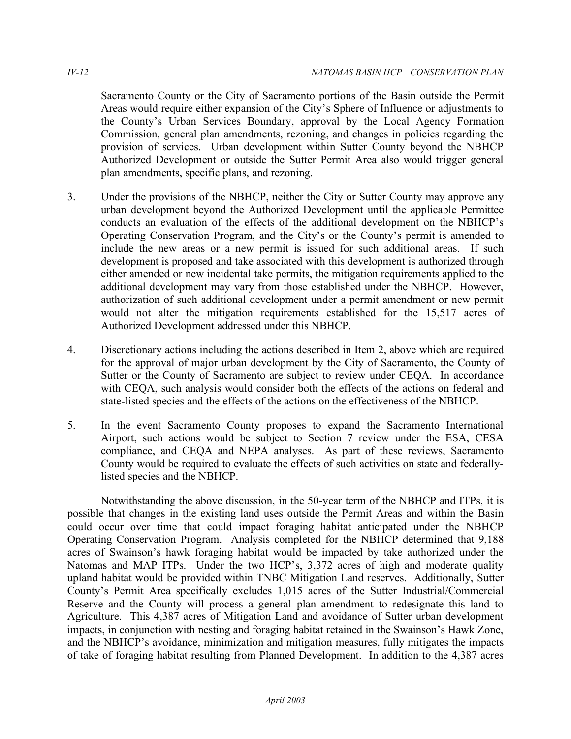Sacramento County or the City of Sacramento portions of the Basin outside the Permit Areas would require either expansion of the City's Sphere of Influence or adjustments to the County's Urban Services Boundary, approval by the Local Agency Formation Commission, general plan amendments, rezoning, and changes in policies regarding the provision of services. Urban development within Sutter County beyond the NBHCP Authorized Development or outside the Sutter Permit Area also would trigger general plan amendments, specific plans, and rezoning.

- 3. Under the provisions of the NBHCP, neither the City or Sutter County may approve any urban development beyond the Authorized Development until the applicable Permittee conducts an evaluation of the effects of the additional development on the NBHCP's Operating Conservation Program, and the City's or the County's permit is amended to include the new areas or a new permit is issued for such additional areas. If such development is proposed and take associated with this development is authorized through either amended or new incidental take permits, the mitigation requirements applied to the additional development may vary from those established under the NBHCP. However, authorization of such additional development under a permit amendment or new permit would not alter the mitigation requirements established for the 15,517 acres of Authorized Development addressed under this NBHCP.
- 4. Discretionary actions including the actions described in Item 2, above which are required for the approval of major urban development by the City of Sacramento, the County of Sutter or the County of Sacramento are subject to review under CEQA. In accordance with CEQA, such analysis would consider both the effects of the actions on federal and state-listed species and the effects of the actions on the effectiveness of the NBHCP.
- 5. In the event Sacramento County proposes to expand the Sacramento International Airport, such actions would be subject to Section 7 review under the ESA, CESA compliance, and CEQA and NEPA analyses. As part of these reviews, Sacramento County would be required to evaluate the effects of such activities on state and federally-listed species and the NBHCP.

Notwithstanding the above discussion, in the 50-year term of the NBHCP and ITPs, it is possible that changes in the existing land uses outside the Permit Areas and within the Basin could occur over time that could impact foraging habitat anticipated under the NBHCP Operating Conservation Program. Analysis completed for the NBHCP determined that 9,188 acres of Swainson's hawk foraging habitat would be impacted by take authorized under the Natomas and MAP ITPs. Under the two HCP's, 3,372 acres of high and moderate quality upland habitat would be provided within TNBC Mitigation Land reserves. Additionally, Sutter County's Permit Area specifically excludes 1,015 acres of the Sutter Industrial/Commercial Reserve and the County will process a general plan amendment to redesignate this land to Agriculture. This 4,387 acres of Mitigation Land and avoidance of Sutter urban development impacts, in conjunction with nesting and foraging habitat retained in the Swainson's Hawk Zone, and the NBHCP's avoidance, minimization and mitigation measures, fully mitigates the impacts of take of foraging habitat resulting from Planned Development. In addition to the 4,387 acres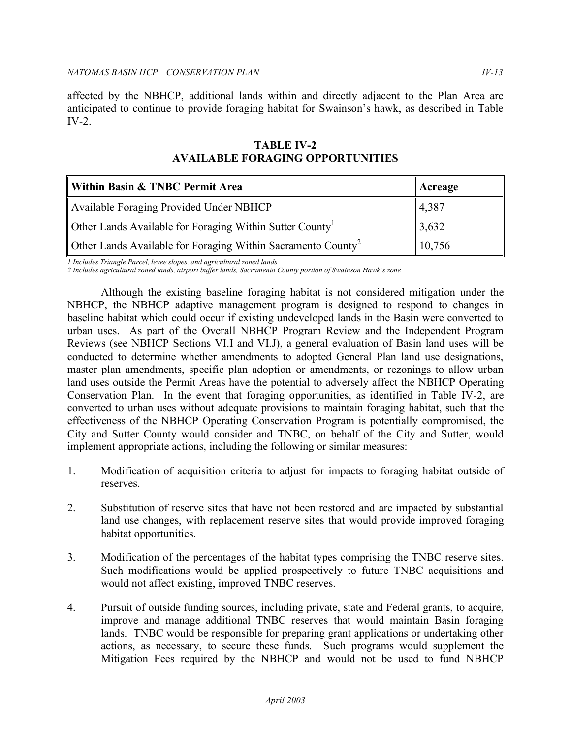affected by the NBHCP, additional lands within and directly adjacent to the Plan Area are anticipated to continue to provide foraging habitat for Swainson's hawk, as described in Table IV-2.

| Within Basin & TNBC Permit Area                                          | Acreage |
|--------------------------------------------------------------------------|---------|
| Available Foraging Provided Under NBHCP                                  | 4,387   |
| Other Lands Available for Foraging Within Sutter County                  | 3,632   |
| Other Lands Available for Foraging Within Sacramento County <sup>2</sup> | 10,756  |

# **TABLE IV-2 AVAILABLE FORAGING OPPORTUNITIES**

*1 Includes Triangle Parcel, levee slopes, and agricultural zoned lands* 

*2 Includes agricultural zoned lands, airport buffer lands, Sacramento County portion of Swainson Hawk's zone* 

 Although the existing baseline foraging habitat is not considered mitigation under the NBHCP, the NBHCP adaptive management program is designed to respond to changes in baseline habitat which could occur if existing undeveloped lands in the Basin were converted to urban uses. As part of the Overall NBHCP Program Review and the Independent Program Reviews (see NBHCP Sections VI.I and VI.J), a general evaluation of Basin land uses will be conducted to determine whether amendments to adopted General Plan land use designations, master plan amendments, specific plan adoption or amendments, or rezonings to allow urban land uses outside the Permit Areas have the potential to adversely affect the NBHCP Operating Conservation Plan. In the event that foraging opportunities, as identified in Table IV-2, are converted to urban uses without adequate provisions to maintain foraging habitat, such that the effectiveness of the NBHCP Operating Conservation Program is potentially compromised, the City and Sutter County would consider and TNBC, on behalf of the City and Sutter, would implement appropriate actions, including the following or similar measures:

- 1. Modification of acquisition criteria to adjust for impacts to foraging habitat outside of reserves.
- 2. Substitution of reserve sites that have not been restored and are impacted by substantial land use changes, with replacement reserve sites that would provide improved foraging habitat opportunities.
- 3. Modification of the percentages of the habitat types comprising the TNBC reserve sites. Such modifications would be applied prospectively to future TNBC acquisitions and would not affect existing, improved TNBC reserves.
- 4. Pursuit of outside funding sources, including private, state and Federal grants, to acquire, improve and manage additional TNBC reserves that would maintain Basin foraging lands. TNBC would be responsible for preparing grant applications or undertaking other actions, as necessary, to secure these funds. Such programs would supplement the Mitigation Fees required by the NBHCP and would not be used to fund NBHCP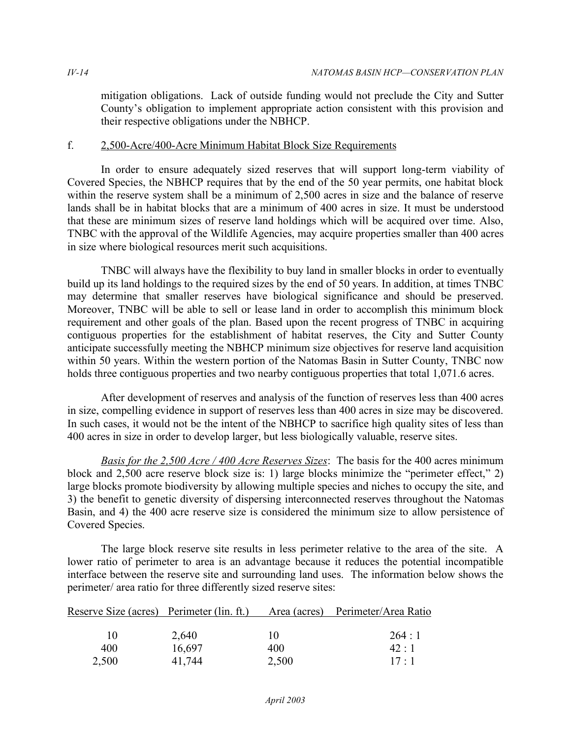mitigation obligations. Lack of outside funding would not preclude the City and Sutter County's obligation to implement appropriate action consistent with this provision and their respective obligations under the NBHCP.

## f. 2,500-Acre/400-Acre Minimum Habitat Block Size Requirements

 In order to ensure adequately sized reserves that will support long-term viability of Covered Species, the NBHCP requires that by the end of the 50 year permits, one habitat block within the reserve system shall be a minimum of 2,500 acres in size and the balance of reserve lands shall be in habitat blocks that are a minimum of 400 acres in size. It must be understood that these are minimum sizes of reserve land holdings which will be acquired over time. Also, TNBC with the approval of the Wildlife Agencies, may acquire properties smaller than 400 acres in size where biological resources merit such acquisitions.

 TNBC will always have the flexibility to buy land in smaller blocks in order to eventually build up its land holdings to the required sizes by the end of 50 years. In addition, at times TNBC may determine that smaller reserves have biological significance and should be preserved. Moreover, TNBC will be able to sell or lease land in order to accomplish this minimum block requirement and other goals of the plan. Based upon the recent progress of TNBC in acquiring contiguous properties for the establishment of habitat reserves, the City and Sutter County anticipate successfully meeting the NBHCP minimum size objectives for reserve land acquisition within 50 years. Within the western portion of the Natomas Basin in Sutter County, TNBC now holds three contiguous properties and two nearby contiguous properties that total 1,071.6 acres.

 After development of reserves and analysis of the function of reserves less than 400 acres in size, compelling evidence in support of reserves less than 400 acres in size may be discovered. In such cases, it would not be the intent of the NBHCP to sacrifice high quality sites of less than 400 acres in size in order to develop larger, but less biologically valuable, reserve sites.

 *Basis for the 2,500 Acre / 400 Acre Reserves Sizes*: The basis for the 400 acres minimum block and 2,500 acre reserve block size is: 1) large blocks minimize the "perimeter effect," 2) large blocks promote biodiversity by allowing multiple species and niches to occupy the site, and 3) the benefit to genetic diversity of dispersing interconnected reserves throughout the Natomas Basin, and 4) the 400 acre reserve size is considered the minimum size to allow persistence of Covered Species.

 The large block reserve site results in less perimeter relative to the area of the site. A lower ratio of perimeter to area is an advantage because it reduces the potential incompatible interface between the reserve site and surrounding land uses. The information below shows the perimeter/ area ratio for three differently sized reserve sites:

| Reserve Size (acres) Perimeter (lin. ft.) |        |       | Area (acres) Perimeter/Area Ratio |
|-------------------------------------------|--------|-------|-----------------------------------|
|                                           |        |       |                                   |
| $\mathbf{I}(\mathbf{I})$                  | 2,640  | 10    | 264:1                             |
| 400                                       | 16,697 | 400   | 42:1                              |
| 2,500                                     | 41,744 | 2,500 | $17 \cdot 1$                      |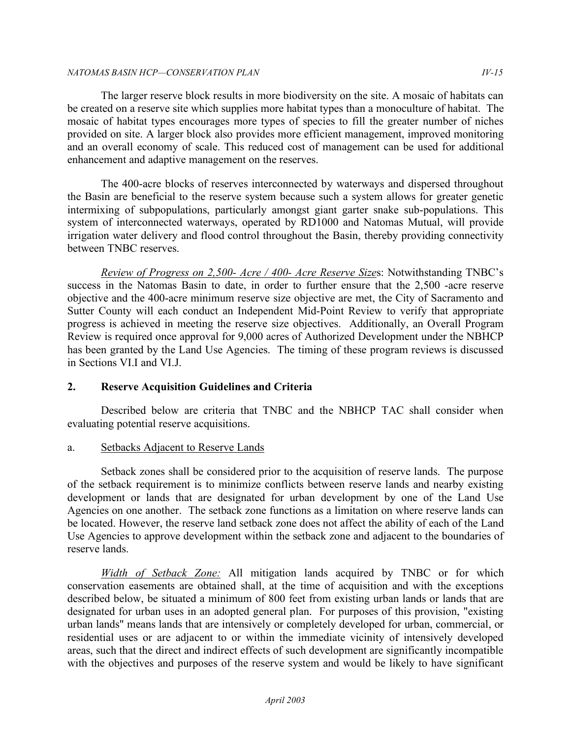### *NATOMAS BASIN HCP—CONSERVATION PLAN IV-15*

 The larger reserve block results in more biodiversity on the site. A mosaic of habitats can be created on a reserve site which supplies more habitat types than a monoculture of habitat. The mosaic of habitat types encourages more types of species to fill the greater number of niches provided on site. A larger block also provides more efficient management, improved monitoring and an overall economy of scale. This reduced cost of management can be used for additional enhancement and adaptive management on the reserves.

 The 400-acre blocks of reserves interconnected by waterways and dispersed throughout the Basin are beneficial to the reserve system because such a system allows for greater genetic intermixing of subpopulations, particularly amongst giant garter snake sub-populations. This system of interconnected waterways, operated by RD1000 and Natomas Mutual, will provide irrigation water delivery and flood control throughout the Basin, thereby providing connectivity between TNBC reserves.

 *Review of Progress on 2,500- Acre / 400- Acre Reserve Size*s: Notwithstanding TNBC's success in the Natomas Basin to date, in order to further ensure that the 2,500 -acre reserve objective and the 400-acre minimum reserve size objective are met, the City of Sacramento and Sutter County will each conduct an Independent Mid-Point Review to verify that appropriate progress is achieved in meeting the reserve size objectives. Additionally, an Overall Program Review is required once approval for 9,000 acres of Authorized Development under the NBHCP has been granted by the Land Use Agencies. The timing of these program reviews is discussed in Sections VI.I and VI.J.

# **2. Reserve Acquisition Guidelines and Criteria**

 Described below are criteria that TNBC and the NBHCP TAC shall consider when evaluating potential reserve acquisitions.

# a. Setbacks Adjacent to Reserve Lands

 Setback zones shall be considered prior to the acquisition of reserve lands. The purpose of the setback requirement is to minimize conflicts between reserve lands and nearby existing development or lands that are designated for urban development by one of the Land Use Agencies on one another. The setback zone functions as a limitation on where reserve lands can be located. However, the reserve land setback zone does not affect the ability of each of the Land Use Agencies to approve development within the setback zone and adjacent to the boundaries of reserve lands.

Width of Setback Zone: All mitigation lands acquired by TNBC or for which conservation easements are obtained shall, at the time of acquisition and with the exceptions described below, be situated a minimum of 800 feet from existing urban lands or lands that are designated for urban uses in an adopted general plan. For purposes of this provision, "existing urban lands" means lands that are intensively or completely developed for urban, commercial, or residential uses or are adjacent to or within the immediate vicinity of intensively developed areas, such that the direct and indirect effects of such development are significantly incompatible with the objectives and purposes of the reserve system and would be likely to have significant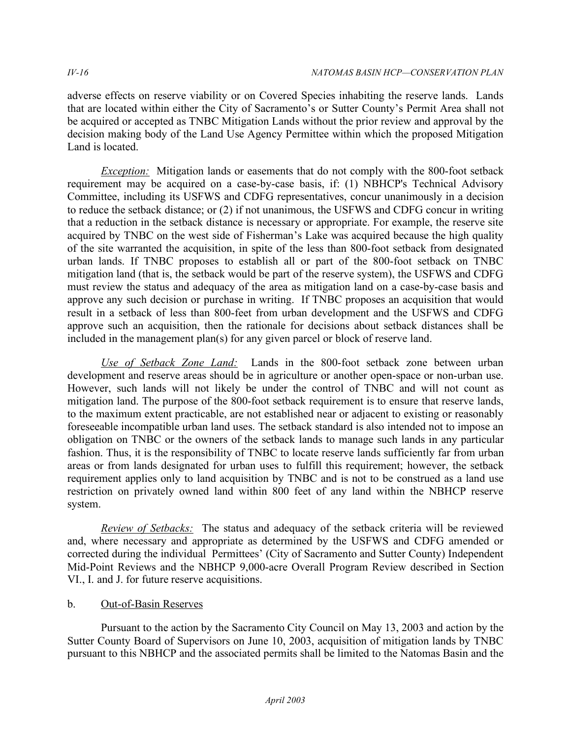adverse effects on reserve viability or on Covered Species inhabiting the reserve lands. Lands that are located within either the City of Sacramento's or Sutter County's Permit Area shall not be acquired or accepted as TNBC Mitigation Lands without the prior review and approval by the decision making body of the Land Use Agency Permittee within which the proposed Mitigation Land is located.

 *Exception:* Mitigation lands or easements that do not comply with the 800-foot setback requirement may be acquired on a case-by-case basis, if: (1) NBHCP's Technical Advisory Committee, including its USFWS and CDFG representatives, concur unanimously in a decision to reduce the setback distance; or (2) if not unanimous, the USFWS and CDFG concur in writing that a reduction in the setback distance is necessary or appropriate. For example, the reserve site acquired by TNBC on the west side of Fisherman's Lake was acquired because the high quality of the site warranted the acquisition, in spite of the less than 800-foot setback from designated urban lands. If TNBC proposes to establish all or part of the 800-foot setback on TNBC mitigation land (that is, the setback would be part of the reserve system), the USFWS and CDFG must review the status and adequacy of the area as mitigation land on a case-by-case basis and approve any such decision or purchase in writing. If TNBC proposes an acquisition that would result in a setback of less than 800-feet from urban development and the USFWS and CDFG approve such an acquisition, then the rationale for decisions about setback distances shall be included in the management plan(s) for any given parcel or block of reserve land.

Use of Setback Zone Land: Lands in the 800-foot setback zone between urban development and reserve areas should be in agriculture or another open-space or non-urban use. However, such lands will not likely be under the control of TNBC and will not count as mitigation land. The purpose of the 800-foot setback requirement is to ensure that reserve lands, to the maximum extent practicable, are not established near or adjacent to existing or reasonably foreseeable incompatible urban land uses. The setback standard is also intended not to impose an obligation on TNBC or the owners of the setback lands to manage such lands in any particular fashion. Thus, it is the responsibility of TNBC to locate reserve lands sufficiently far from urban areas or from lands designated for urban uses to fulfill this requirement; however, the setback requirement applies only to land acquisition by TNBC and is not to be construed as a land use restriction on privately owned land within 800 feet of any land within the NBHCP reserve system.

*Review of Setbacks:* The status and adequacy of the setback criteria will be reviewed and, where necessary and appropriate as determined by the USFWS and CDFG amended or corrected during the individual Permittees' (City of Sacramento and Sutter County) Independent Mid-Point Reviews and the NBHCP 9,000-acre Overall Program Review described in Section VI., I. and J. for future reserve acquisitions.

# b. Out-of-Basin Reserves

 Pursuant to the action by the Sacramento City Council on May 13, 2003 and action by the Sutter County Board of Supervisors on June 10, 2003, acquisition of mitigation lands by TNBC pursuant to this NBHCP and the associated permits shall be limited to the Natomas Basin and the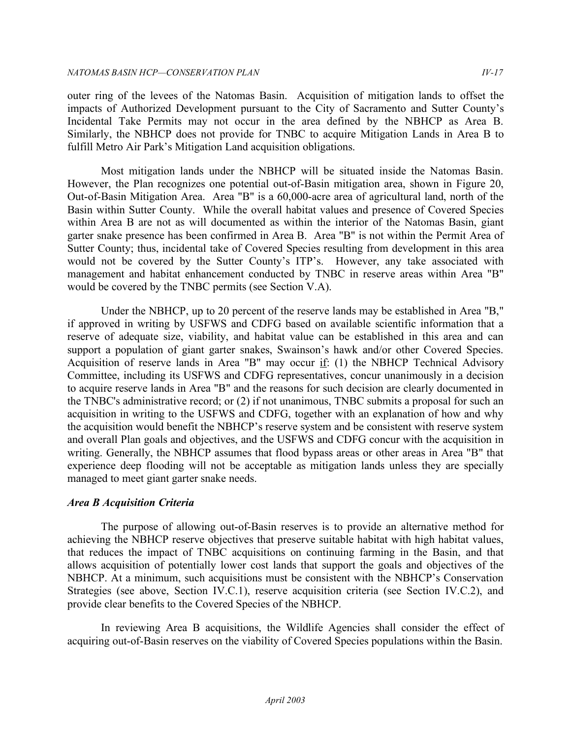outer ring of the levees of the Natomas Basin. Acquisition of mitigation lands to offset the impacts of Authorized Development pursuant to the City of Sacramento and Sutter County's Incidental Take Permits may not occur in the area defined by the NBHCP as Area B. Similarly, the NBHCP does not provide for TNBC to acquire Mitigation Lands in Area B to fulfill Metro Air Park's Mitigation Land acquisition obligations.

 Most mitigation lands under the NBHCP will be situated inside the Natomas Basin. However, the Plan recognizes one potential out-of-Basin mitigation area, shown in Figure 20, Out-of-Basin Mitigation Area. Area "B" is a 60,000-acre area of agricultural land, north of the Basin within Sutter County. While the overall habitat values and presence of Covered Species within Area B are not as will documented as within the interior of the Natomas Basin, giant garter snake presence has been confirmed in Area B. Area "B" is not within the Permit Area of Sutter County; thus, incidental take of Covered Species resulting from development in this area would not be covered by the Sutter County's ITP's. However, any take associated with management and habitat enhancement conducted by TNBC in reserve areas within Area "B" would be covered by the TNBC permits (see Section V.A).

 Under the NBHCP, up to 20 percent of the reserve lands may be established in Area "B," if approved in writing by USFWS and CDFG based on available scientific information that a reserve of adequate size, viability, and habitat value can be established in this area and can support a population of giant garter snakes, Swainson's hawk and/or other Covered Species. Acquisition of reserve lands in Area "B" may occur  $\underline{if}$ : (1) the NBHCP Technical Advisory Committee, including its USFWS and CDFG representatives, concur unanimously in a decision to acquire reserve lands in Area "B" and the reasons for such decision are clearly documented in the TNBC's administrative record; or (2) if not unanimous, TNBC submits a proposal for such an acquisition in writing to the USFWS and CDFG, together with an explanation of how and why the acquisition would benefit the NBHCP's reserve system and be consistent with reserve system and overall Plan goals and objectives, and the USFWS and CDFG concur with the acquisition in writing. Generally, the NBHCP assumes that flood bypass areas or other areas in Area "B" that experience deep flooding will not be acceptable as mitigation lands unless they are specially managed to meet giant garter snake needs.

## *Area B Acquisition Criteria*

 The purpose of allowing out-of-Basin reserves is to provide an alternative method for achieving the NBHCP reserve objectives that preserve suitable habitat with high habitat values, that reduces the impact of TNBC acquisitions on continuing farming in the Basin, and that allows acquisition of potentially lower cost lands that support the goals and objectives of the NBHCP. At a minimum, such acquisitions must be consistent with the NBHCP's Conservation Strategies (see above, Section IV.C.1), reserve acquisition criteria (see Section IV.C.2), and provide clear benefits to the Covered Species of the NBHCP.

 In reviewing Area B acquisitions, the Wildlife Agencies shall consider the effect of acquiring out-of-Basin reserves on the viability of Covered Species populations within the Basin.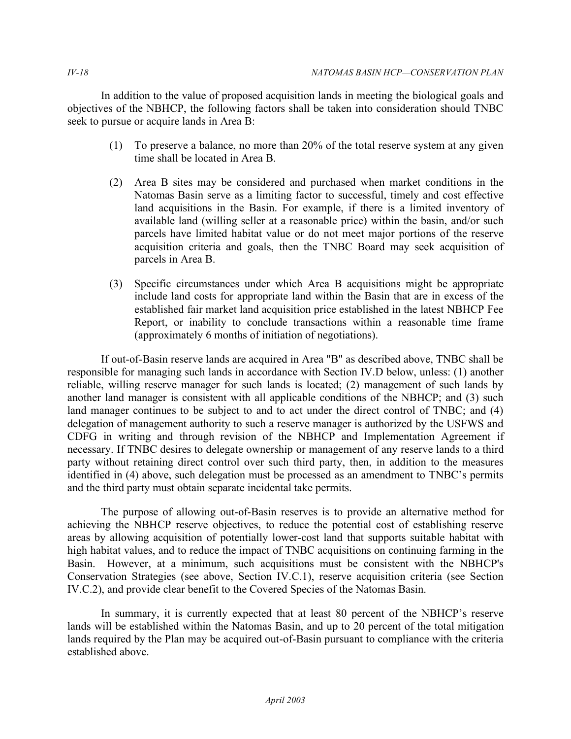In addition to the value of proposed acquisition lands in meeting the biological goals and objectives of the NBHCP, the following factors shall be taken into consideration should TNBC seek to pursue or acquire lands in Area B:

- (1) To preserve a balance, no more than 20% of the total reserve system at any given time shall be located in Area B.
- (2) Area B sites may be considered and purchased when market conditions in the Natomas Basin serve as a limiting factor to successful, timely and cost effective land acquisitions in the Basin. For example, if there is a limited inventory of available land (willing seller at a reasonable price) within the basin, and/or such parcels have limited habitat value or do not meet major portions of the reserve acquisition criteria and goals, then the TNBC Board may seek acquisition of parcels in Area B.
- (3) Specific circumstances under which Area B acquisitions might be appropriate include land costs for appropriate land within the Basin that are in excess of the established fair market land acquisition price established in the latest NBHCP Fee Report, or inability to conclude transactions within a reasonable time frame (approximately 6 months of initiation of negotiations).

 If out-of-Basin reserve lands are acquired in Area "B" as described above, TNBC shall be responsible for managing such lands in accordance with Section IV.D below, unless: (1) another reliable, willing reserve manager for such lands is located; (2) management of such lands by another land manager is consistent with all applicable conditions of the NBHCP; and (3) such land manager continues to be subject to and to act under the direct control of TNBC; and (4) delegation of management authority to such a reserve manager is authorized by the USFWS and CDFG in writing and through revision of the NBHCP and Implementation Agreement if necessary. If TNBC desires to delegate ownership or management of any reserve lands to a third party without retaining direct control over such third party, then, in addition to the measures identified in (4) above, such delegation must be processed as an amendment to TNBC's permits and the third party must obtain separate incidental take permits.

 The purpose of allowing out-of-Basin reserves is to provide an alternative method for achieving the NBHCP reserve objectives, to reduce the potential cost of establishing reserve areas by allowing acquisition of potentially lower-cost land that supports suitable habitat with high habitat values, and to reduce the impact of TNBC acquisitions on continuing farming in the Basin. However, at a minimum, such acquisitions must be consistent with the NBHCP's Conservation Strategies (see above, Section IV.C.1), reserve acquisition criteria (see Section IV.C.2), and provide clear benefit to the Covered Species of the Natomas Basin.

 In summary, it is currently expected that at least 80 percent of the NBHCP's reserve lands will be established within the Natomas Basin, and up to 20 percent of the total mitigation lands required by the Plan may be acquired out-of-Basin pursuant to compliance with the criteria established above.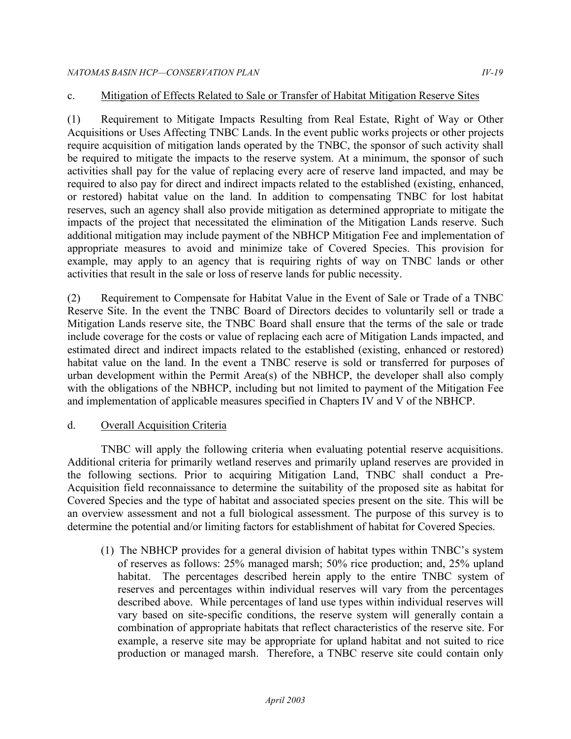# c. Mitigation of Effects Related to Sale or Transfer of Habitat Mitigation Reserve Sites

 (1) Requirement to Mitigate Impacts Resulting from Real Estate, Right of Way or Other Acquisitions or Uses Affecting TNBC Lands. In the event public works projects or other projects require acquisition of mitigation lands operated by the TNBC, the sponsor of such activity shall be required to mitigate the impacts to the reserve system. At a minimum, the sponsor of such activities shall pay for the value of replacing every acre of reserve land impacted, and may be required to also pay for direct and indirect impacts related to the established (existing, enhanced, or restored) habitat value on the land. In addition to compensating TNBC for lost habitat reserves, such an agency shall also provide mitigation as determined appropriate to mitigate the impacts of the project that necessitated the elimination of the Mitigation Lands reserve. Such additional mitigation may include payment of the NBHCP Mitigation Fee and implementation of appropriate measures to avoid and minimize take of Covered Species. This provision for example, may apply to an agency that is requiring rights of way on TNBC lands or other activities that result in the sale or loss of reserve lands for public necessity.

 (2) Requirement to Compensate for Habitat Value in the Event of Sale or Trade of a TNBC Reserve Site. In the event the TNBC Board of Directors decides to voluntarily sell or trade a Mitigation Lands reserve site, the TNBC Board shall ensure that the terms of the sale or trade include coverage for the costs or value of replacing each acre of Mitigation Lands impacted, and estimated direct and indirect impacts related to the established (existing, enhanced or restored) habitat value on the land. In the event a TNBC reserve is sold or transferred for purposes of urban development within the Permit Area(s) of the NBHCP, the developer shall also comply with the obligations of the NBHCP, including but not limited to payment of the Mitigation Fee and implementation of applicable measures specified in Chapters IV and V of the NBHCP.

## d. Overall Acquisition Criteria

 TNBC will apply the following criteria when evaluating potential reserve acquisitions. Additional criteria for primarily wetland reserves and primarily upland reserves are provided in the following sections. Prior to acquiring Mitigation Land, TNBC shall conduct a Pre- Acquisition field reconnaissance to determine the suitability of the proposed site as habitat for Covered Species and the type of habitat and associated species present on the site. This will be an overview assessment and not a full biological assessment. The purpose of this survey is to determine the potential and/or limiting factors for establishment of habitat for Covered Species.

 (1) The NBHCP provides for a general division of habitat types within TNBC's system of reserves as follows: 25% managed marsh; 50% rice production; and, 25% upland habitat. The percentages described herein apply to the entire TNBC system of reserves and percentages within individual reserves will vary from the percentages described above. While percentages of land use types within individual reserves will vary based on site-specific conditions, the reserve system will generally contain a combination of appropriate habitats that reflect characteristics of the reserve site. For example, a reserve site may be appropriate for upland habitat and not suited to rice production or managed marsh. Therefore, a TNBC reserve site could contain only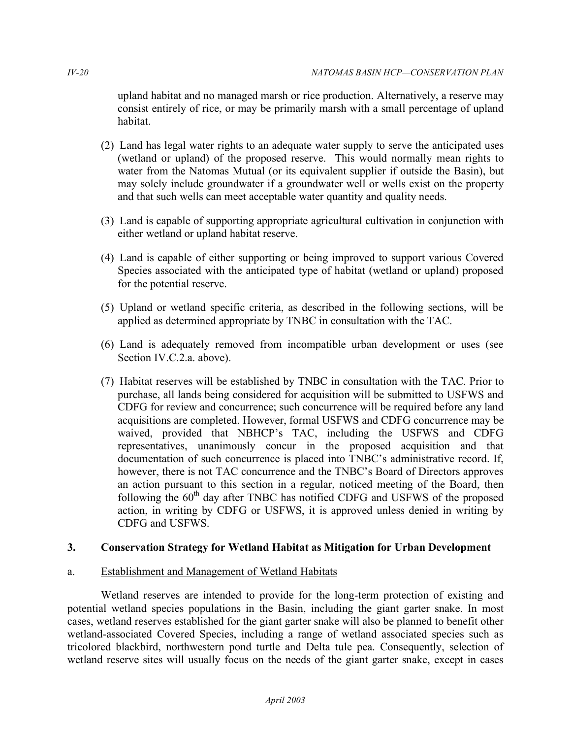upland habitat and no managed marsh or rice production. Alternatively, a reserve may consist entirely of rice, or may be primarily marsh with a small percentage of upland habitat

- habitat.<br>(2) Land has legal water rights to an adequate water supply to serve the anticipated uses (wetland or upland) of the proposed reserve. This would normally mean rights to water from the Natomas Mutual (or its equivalent supplier if outside the Basin), but may solely include groundwater if a groundwater well or wells exist on the property and that such wells can meet acceptable water quantity and quality needs.
- (3) Land is capable of supporting appropriate agricultural cultivation in conjunction with either wetland or upland habitat reserve.
- (4) Land is capable of either supporting or being improved to support various Covered Species associated with the anticipated type of habitat (wetland or upland) proposed for the potential reserve.
- (5) Upland or wetland specific criteria, as described in the following sections, will be applied as determined appropriate by TNBC in consultation with the TAC.
- (6) Land is adequately removed from incompatible urban development or uses (see Section IV.C.2.a. above).
- (7) Habitat reserves will be established by TNBC in consultation with the TAC. Prior to purchase, all lands being considered for acquisition will be submitted to USFWS and CDFG for review and concurrence; such concurrence will be required before any land acquisitions are completed. However, formal USFWS and CDFG concurrence may be waived, provided that NBHCP's TAC, including the USFWS and CDFG representatives, unanimously concur in the proposed acquisition and that documentation of such concurrence is placed into TNBC's administrative record. If, however, there is not TAC concurrence and the TNBC's Board of Directors approves an action pursuant to this section in a regular, noticed meeting of the Board, then following the 60<sup>th</sup> day after TNBC has notified CDFG and USFWS of the proposed action, in writing by CDFG or USFWS, it is approved unless denied in writing by CDFG and USFWS.

# **3. Conservation Strategy for Wetland Habitat as Mitigation for Urban Development**

## a. Establishment and Management of Wetland Habitats

 Wetland reserves are intended to provide for the long-term protection of existing and potential wetland species populations in the Basin, including the giant garter snake. In most cases, wetland reserves established for the giant garter snake will also be planned to benefit other wetland-associated Covered Species, including a range of wetland associated species such as tricolored blackbird, northwestern pond turtle and Delta tule pea. Consequently, selection of wetland reserve sites will usually focus on the needs of the giant garter snake, except in cases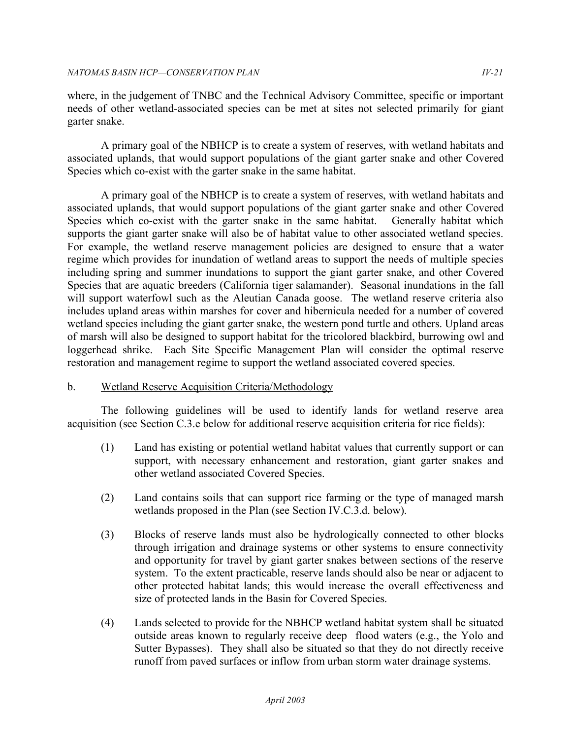where, in the judgement of TNBC and the Technical Advisory Committee, specific or important needs of other wetland-associated species can be met at sites not selected primarily for giant garter snake.

 A primary goal of the NBHCP is to create a system of reserves, with wetland habitats and associated uplands, that would support populations of the giant garter snake and other Covered Species which co-exist with the garter snake in the same habitat.

 A primary goal of the NBHCP is to create a system of reserves, with wetland habitats and associated uplands, that would support populations of the giant garter snake and other Covered Species which co-exist with the garter snake in the same habitat. Generally habitat which supports the giant garter snake will also be of habitat value to other associated wetland species. For example, the wetland reserve management policies are designed to ensure that a water regime which provides for inundation of wetland areas to support the needs of multiple species including spring and summer inundations to support the giant garter snake, and other Covered Species that are aquatic breeders (California tiger salamander). Seasonal inundations in the fall will support waterfowl such as the Aleutian Canada goose. The wetland reserve criteria also includes upland areas within marshes for cover and hibernicula needed for a number of covered wetland species including the giant garter snake, the western pond turtle and others. Upland areas of marsh will also be designed to support habitat for the tricolored blackbird, burrowing owl and loggerhead shrike. Each Site Specific Management Plan will consider the optimal reserve restoration and management regime to support the wetland associated covered species.

# b. Wetland Reserve Acquisition Criteria/Methodology

 The following guidelines will be used to identify lands for wetland reserve area acquisition (see Section C.3.e below for additional reserve acquisition criteria for rice fields):

- $(1)$  support, with necessary enhancement and restoration, giant garter snakes and Land has existing or potential wetland habitat values that currently support or can other wetland associated Covered Species.
- $(2)$  wetlands proposed in the Plan (see Section IV.C.3.d. below). Land contains soils that can support rice farming or the type of managed marsh
- (3) Blocks of reserve lands must also be hydrologically connected to other blocks through irrigation and drainage systems or other systems to ensure connectivity and opportunity for travel by giant garter snakes between sections of the reserve system. To the extent practicable, reserve lands should also be near or adjacent to other protected habitat lands; this would increase the overall effectiveness and size of protected lands in the Basin for Covered Species.
- (4) Lands selected to provide for the NBHCP wetland habitat system shall be situated outside areas known to regularly receive deep flood waters (e.g., the Yolo and Sutter Bypasses). They shall also be situated so that they do not directly receive runoff from paved surfaces or inflow from urban storm water drainage systems.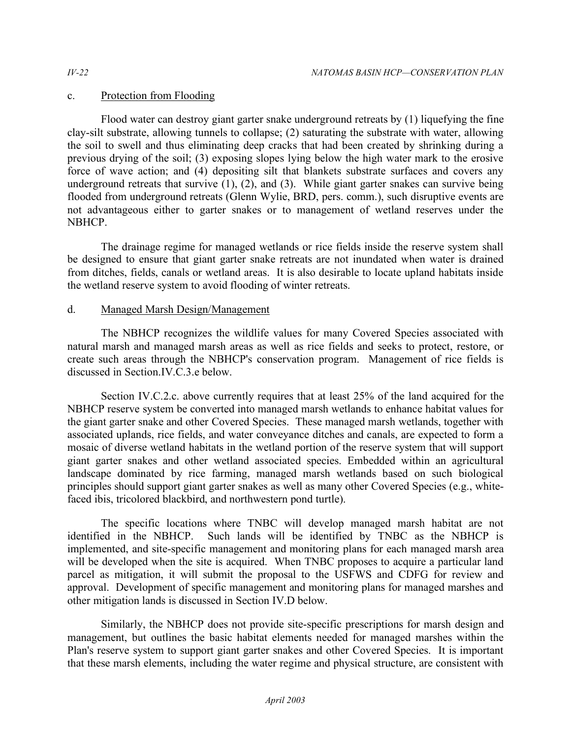# c. Protection from Flooding

 Flood water can destroy giant garter snake underground retreats by (1) liquefying the fine clay-silt substrate, allowing tunnels to collapse; (2) saturating the substrate with water, allowing the soil to swell and thus eliminating deep cracks that had been created by shrinking during a previous drying of the soil; (3) exposing slopes lying below the high water mark to the erosive force of wave action; and (4) depositing silt that blankets substrate surfaces and covers any underground retreats that survive (1), (2), and (3). While giant garter snakes can survive being flooded from underground retreats (Glenn Wylie, BRD, pers. comm.), such disruptive events are not advantageous either to garter snakes or to management of wetland reserves under the NBHCP.

 The drainage regime for managed wetlands or rice fields inside the reserve system shall be designed to ensure that giant garter snake retreats are not inundated when water is drained from ditches, fields, canals or wetland areas. It is also desirable to locate upland habitats inside the wetland reserve system to avoid flooding of winter retreats.

# d. Managed Marsh Design/Management

 The NBHCP recognizes the wildlife values for many Covered Species associated with natural marsh and managed marsh areas as well as rice fields and seeks to protect, restore, or create such areas through the NBHCP's conservation program. Management of rice fields is discussed in Section IV.C.3. e below.

 Section IV.C.2.c. above currently requires that at least 25% of the land acquired for the NBHCP reserve system be converted into managed marsh wetlands to enhance habitat values for the giant garter snake and other Covered Species. These managed marsh wetlands, together with associated uplands, rice fields, and water conveyance ditches and canals, are expected to form a mosaic of diverse wetland habitats in the wetland portion of the reserve system that will support giant garter snakes and other wetland associated species. Embedded within an agricultural landscape dominated by rice farming, managed marsh wetlands based on such biological principles should support giant garter snakes as well as many other Covered Species (e.g., white-faced ibis, tricolored blackbird, and northwestern pond turtle).

 The specific locations where TNBC will develop managed marsh habitat are not identified in the NBHCP. Such lands will be identified by TNBC as the NBHCP is implemented, and site-specific management and monitoring plans for each managed marsh area will be developed when the site is acquired. When TNBC proposes to acquire a particular land parcel as mitigation, it will submit the proposal to the USFWS and CDFG for review and approval. Development of specific management and monitoring plans for managed marshes and other mitigation lands is discussed in Section IV.D below.

 Similarly, the NBHCP does not provide site-specific prescriptions for marsh design and management, but outlines the basic habitat elements needed for managed marshes within the Plan's reserve system to support giant garter snakes and other Covered Species. It is important that these marsh elements, including the water regime and physical structure, are consistent with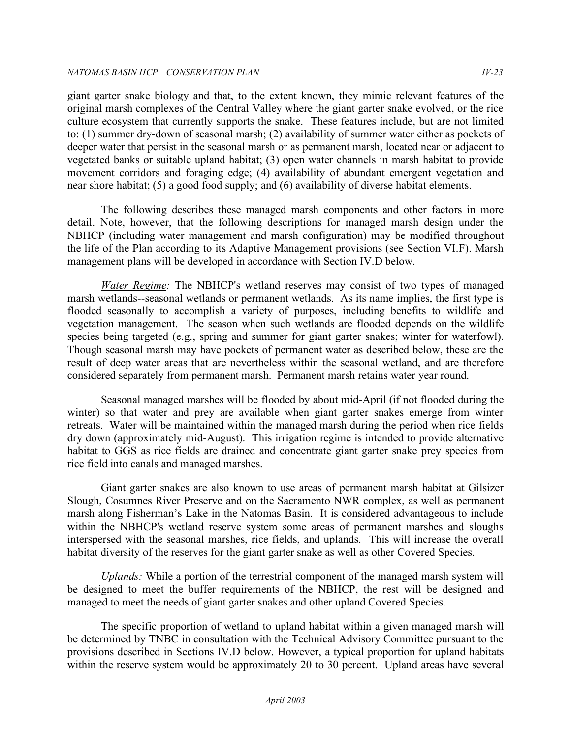giant garter snake biology and that, to the extent known, they mimic relevant features of the original marsh complexes of the Central Valley where the giant garter snake evolved, or the rice culture ecosystem that currently supports the snake. These features include, but are not limited to: (1) summer dry-down of seasonal marsh; (2) availability of summer water either as pockets of deeper water that persist in the seasonal marsh or as permanent marsh, located near or adjacent to vegetated banks or suitable upland habitat; (3) open water channels in marsh habitat to provide movement corridors and foraging edge; (4) availability of abundant emergent vegetation and near shore habitat; (5) a good food supply; and (6) availability of diverse habitat elements.

 The following describes these managed marsh components and other factors in more detail. Note, however, that the following descriptions for managed marsh design under the NBHCP (including water management and marsh configuration) may be modified throughout the life of the Plan according to its Adaptive Management provisions (see Section VI.F). Marsh management plans will be developed in accordance with Section IV.D below.

 *Water Regime:* The NBHCP's wetland reserves may consist of two types of managed marsh wetlands--seasonal wetlands or permanent wetlands. As its name implies, the first type is flooded seasonally to accomplish a variety of purposes, including benefits to wildlife and vegetation management. The season when such wetlands are flooded depends on the wildlife species being targeted (e.g., spring and summer for giant garter snakes; winter for waterfowl). Though seasonal marsh may have pockets of permanent water as described below, these are the result of deep water areas that are nevertheless within the seasonal wetland, and are therefore considered separately from permanent marsh. Permanent marsh retains water year round.

 Seasonal managed marshes will be flooded by about mid-April (if not flooded during the winter) so that water and prey are available when giant garter snakes emerge from winter retreats. Water will be maintained within the managed marsh during the period when rice fields dry down (approximately mid-August). This irrigation regime is intended to provide alternative habitat to GGS as rice fields are drained and concentrate giant garter snake prey species from rice field into canals and managed marshes.

 Giant garter snakes are also known to use areas of permanent marsh habitat at Gilsizer Slough, Cosumnes River Preserve and on the Sacramento NWR complex, as well as permanent marsh along Fisherman's Lake in the Natomas Basin. It is considered advantageous to include within the NBHCP's wetland reserve system some areas of permanent marshes and sloughs interspersed with the seasonal marshes, rice fields, and uplands. This will increase the overall habitat diversity of the reserves for the giant garter snake as well as other Covered Species.

 *Uplands:* While a portion of the terrestrial component of the managed marsh system will be designed to meet the buffer requirements of the NBHCP, the rest will be designed and managed to meet the needs of giant garter snakes and other upland Covered Species.

 The specific proportion of wetland to upland habitat within a given managed marsh will be determined by TNBC in consultation with the Technical Advisory Committee pursuant to the provisions described in Sections IV.D below. However, a typical proportion for upland habitats within the reserve system would be approximately 20 to 30 percent. Upland areas have several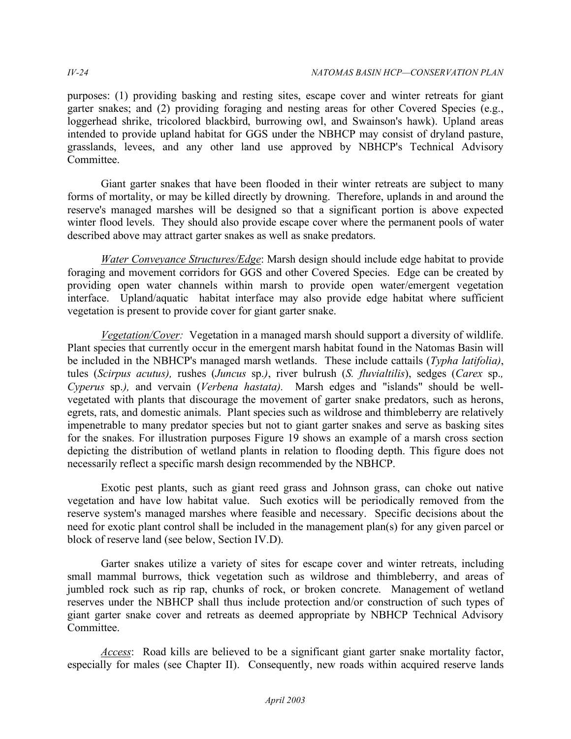purposes: (1) providing basking and resting sites, escape cover and winter retreats for giant garter snakes; and (2) providing foraging and nesting areas for other Covered Species (e.g., loggerhead shrike, tricolored blackbird, burrowing owl, and Swainson's hawk). Upland areas intended to provide upland habitat for GGS under the NBHCP may consist of dryland pasture, grasslands, levees, and any other land use approved by NBHCP's Technical Advisory Committee.

Committee.<br>Giant garter snakes that have been flooded in their winter retreats are subject to many forms of mortality, or may be killed directly by drowning. Therefore, uplands in and around the reserve's managed marshes will be designed so that a significant portion is above expected winter flood levels. They should also provide escape cover where the permanent pools of water described above may attract garter snakes as well as snake predators.

*Water Conveyance Structures/Edge*: Marsh design should include edge habitat to provide foraging and movement corridors for GGS and other Covered Species. Edge can be created by providing open water channels within marsh to provide open water/emergent vegetation interface. Upland/aquatic habitat interface may also provide edge habitat where sufficient vegetation is present to provide cover for giant garter snake.

 *Vegetation/Cover:* Vegetation in a managed marsh should support a diversity of wildlife. Plant species that currently occur in the emergent marsh habitat found in the Natomas Basin will be included in the NBHCP's managed marsh wetlands. These include cattails (*Typha latifolia)*,  tules (*Scirpus acutus),* rushes (*Juncus* sp.*)*, river bulrush (*S. fluvialtilis*), sedges (*Carex* sp.*, Cyperus* sp.*),* and vervain (*Verbena hastata).* Marsh edges and "islands" should be well- vegetated with plants that discourage the movement of garter snake predators, such as herons, egrets, rats, and domestic animals. Plant species such as wildrose and thimbleberry are relatively impenetrable to many predator species but not to giant garter snakes and serve as basking sites for the snakes. For illustration purposes Figure 19 shows an example of a marsh cross section depicting the distribution of wetland plants in relation to flooding depth. This figure does not necessarily reflect a specific marsh design recommended by the NBHCP.

 Exotic pest plants, such as giant reed grass and Johnson grass, can choke out native vegetation and have low habitat value. Such exotics will be periodically removed from the reserve system's managed marshes where feasible and necessary. Specific decisions about the need for exotic plant control shall be included in the management plan(s) for any given parcel or block of reserve land (see below, Section IV.D).

 Garter snakes utilize a variety of sites for escape cover and winter retreats, including small mammal burrows, thick vegetation such as wildrose and thimbleberry, and areas of jumbled rock such as rip rap, chunks of rock, or broken concrete. Management of wetland reserves under the NBHCP shall thus include protection and/or construction of such types of giant garter snake cover and retreats as deemed appropriate by NBHCP Technical Advisory Committee.

 *Access*: Road kills are believed to be a significant giant garter snake mortality factor, especially for males (see Chapter II). Consequently, new roads within acquired reserve lands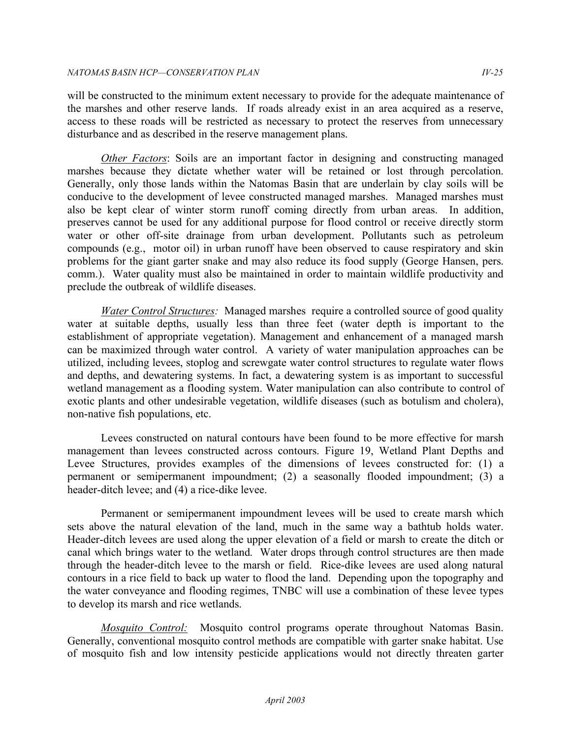will be constructed to the minimum extent necessary to provide for the adequate maintenance of the marshes and other reserve lands. If roads already exist in an area acquired as a reserve, access to these roads will be restricted as necessary to protect the reserves from unnecessary disturbance and as described in the reserve management plans.

 *Other Factors*: Soils are an important factor in designing and constructing managed marshes because they dictate whether water will be retained or lost through percolation. Generally, only those lands within the Natomas Basin that are underlain by clay soils will be conducive to the development of levee constructed managed marshes. Managed marshes must also be kept clear of winter storm runoff coming directly from urban areas. In addition, preserves cannot be used for any additional purpose for flood control or receive directly storm water or other off-site drainage from urban development. Pollutants such as petroleum compounds (e.g., motor oil) in urban runoff have been observed to cause respiratory and skin problems for the giant garter snake and may also reduce its food supply (George Hansen, pers. comm.). Water quality must also be maintained in order to maintain wildlife productivity and preclude the outbreak of wildlife diseases.

*Water Control Structures:* Managed marshes require a controlled source of good quality water at suitable depths, usually less than three feet (water depth is important to the establishment of appropriate vegetation). Management and enhancement of a managed marsh can be maximized through water control. A variety of water manipulation approaches can be utilized, including levees, stoplog and screwgate water control structures to regulate water flows and depths, and dewatering systems. In fact, a dewatering system is as important to successful wetland management as a flooding system. Water manipulation can also contribute to control of exotic plants and other undesirable vegetation, wildlife diseases (such as botulism and cholera), non-native fish populations, etc.

 Levees constructed on natural contours have been found to be more effective for marsh management than levees constructed across contours. Figure 19, Wetland Plant Depths and Levee Structures, provides examples of the dimensions of levees constructed for: (1) a permanent or semipermanent impoundment; (2) a seasonally flooded impoundment; (3) a header-ditch levee; and (4) a rice-dike levee.

 Permanent or semipermanent impoundment levees will be used to create marsh which sets above the natural elevation of the land, much in the same way a bathtub holds water. Header-ditch levees are used along the upper elevation of a field or marsh to create the ditch or canal which brings water to the wetland. Water drops through control structures are then made through the header-ditch levee to the marsh or field. Rice-dike levees are used along natural contours in a rice field to back up water to flood the land. Depending upon the topography and the water conveyance and flooding regimes, TNBC will use a combination of these levee types to develop its marsh and rice wetlands.

 *Mosquito Control:* Mosquito control programs operate throughout Natomas Basin. Generally, conventional mosquito control methods are compatible with garter snake habitat. Use of mosquito fish and low intensity pesticide applications would not directly threaten garter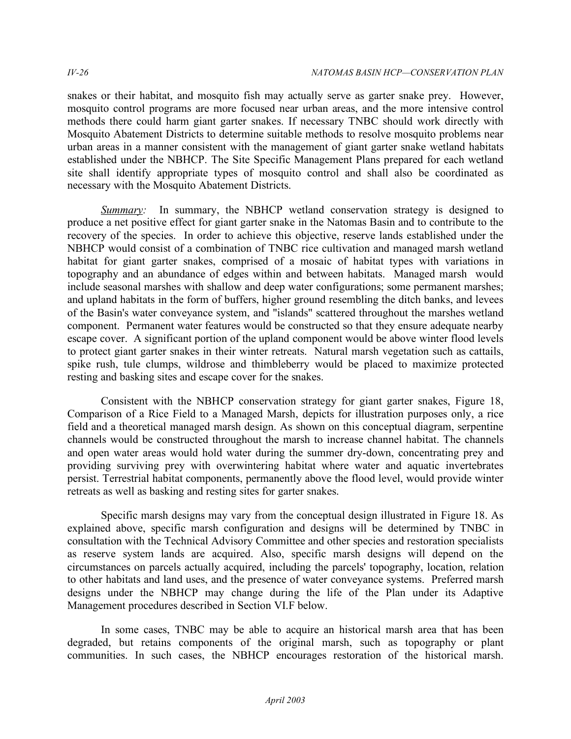snakes or their habitat, and mosquito fish may actually serve as garter snake prey. However, mosquito control programs are more focused near urban areas, and the more intensive control methods there could harm giant garter snakes. If necessary TNBC should work directly with Mosquito Abatement Districts to determine suitable methods to resolve mosquito problems near urban areas in a manner consistent with the management of giant garter snake wetland habitats established under the NBHCP. The Site Specific Management Plans prepared for each wetland site shall identify appropriate types of mosquito control and shall also be coordinated as necessary with the Mosquito Abatement Districts.

*Summary*: In summary, the NBHCP wetland conservation strategy is designed to produce a net positive effect for giant garter snake in the Natomas Basin and to contribute to the recovery of the species. In order to achieve this objective, reserve lands established under the NBHCP would consist of a combination of TNBC rice cultivation and managed marsh wetland habitat for giant garter snakes, comprised of a mosaic of habitat types with variations in topography and an abundance of edges within and between habitats. Managed marsh would include seasonal marshes with shallow and deep water configurations; some permanent marshes; and upland habitats in the form of buffers, higher ground resembling the ditch banks, and levees of the Basin's water conveyance system, and "islands" scattered throughout the marshes wetland component. Permanent water features would be constructed so that they ensure adequate nearby escape cover. A significant portion of the upland component would be above winter flood levels to protect giant garter snakes in their winter retreats. Natural marsh vegetation such as cattails, spike rush, tule clumps, wildrose and thimbleberry would be placed to maximize protected resting and basking sites and escape cover for the snakes.

 Consistent with the NBHCP conservation strategy for giant garter snakes, Figure 18, Comparison of a Rice Field to a Managed Marsh, depicts for illustration purposes only, a rice field and a theoretical managed marsh design. As shown on this conceptual diagram, serpentine channels would be constructed throughout the marsh to increase channel habitat. The channels and open water areas would hold water during the summer dry-down, concentrating prey and providing surviving prey with overwintering habitat where water and aquatic invertebrates persist. Terrestrial habitat components, permanently above the flood level, would provide winter retreats as well as basking and resting sites for garter snakes.

 Specific marsh designs may vary from the conceptual design illustrated in Figure 18. As explained above, specific marsh configuration and designs will be determined by TNBC in consultation with the Technical Advisory Committee and other species and restoration specialists as reserve system lands are acquired. Also, specific marsh designs will depend on the circumstances on parcels actually acquired, including the parcels' topography, location, relation to other habitats and land uses, and the presence of water conveyance systems. Preferred marsh designs under the NBHCP may change during the life of the Plan under its Adaptive Management procedures described in Section VI.F below.

 In some cases, TNBC may be able to acquire an historical marsh area that has been degraded, but retains components of the original marsh, such as topography or plant communities. In such cases, the NBHCP encourages restoration of the historical marsh.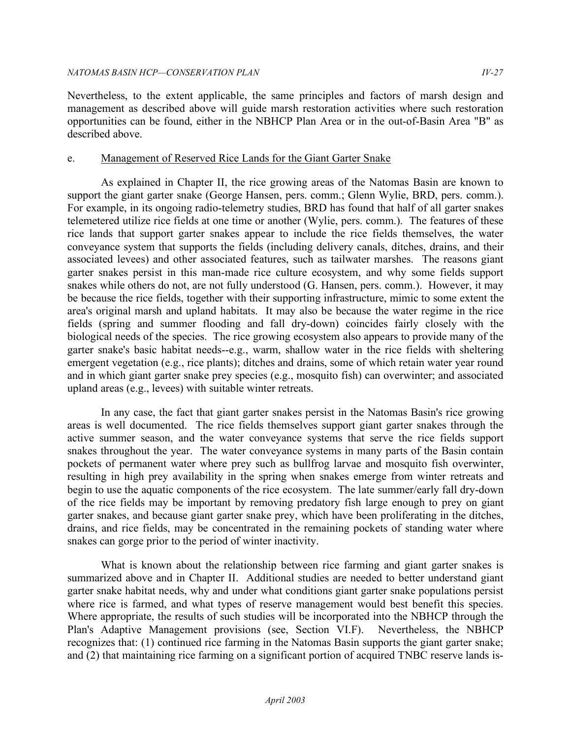Nevertheless, to the extent applicable, the same principles and factors of marsh design and management as described above will guide marsh restoration activities where such restoration opportunities can be found, either in the NBHCP Plan Area or in the out-of-Basin Area "B" as described above.

### e. Management of Reserved Rice Lands for the Giant Garter Snake

 As explained in Chapter II, the rice growing areas of the Natomas Basin are known to support the giant garter snake (George Hansen, pers. comm.; Glenn Wylie, BRD, pers. comm.). For example, in its ongoing radio-telemetry studies, BRD has found that half of all garter snakes telemetered utilize rice fields at one time or another (Wylie, pers. comm.). The features of these rice lands that support garter snakes appear to include the rice fields themselves, the water conveyance system that supports the fields (including delivery canals, ditches, drains, and their associated levees) and other associated features, such as tailwater marshes. The reasons giant garter snakes persist in this man-made rice culture ecosystem, and why some fields support snakes while others do not, are not fully understood (G. Hansen, pers. comm.). However, it may be because the rice fields, together with their supporting infrastructure, mimic to some extent the area's original marsh and upland habitats. It may also be because the water regime in the rice fields (spring and summer flooding and fall dry-down) coincides fairly closely with the biological needs of the species. The rice growing ecosystem also appears to provide many of the garter snake's basic habitat needs--e.g., warm, shallow water in the rice fields with sheltering emergent vegetation (e.g., rice plants); ditches and drains, some of which retain water year round and in which giant garter snake prey species (e.g., mosquito fish) can overwinter; and associated upland areas (e.g., levees) with suitable winter retreats.

 In any case, the fact that giant garter snakes persist in the Natomas Basin's rice growing areas is well documented. The rice fields themselves support giant garter snakes through the active summer season, and the water conveyance systems that serve the rice fields support snakes throughout the year. The water conveyance systems in many parts of the Basin contain pockets of permanent water where prey such as bullfrog larvae and mosquito fish overwinter, resulting in high prey availability in the spring when snakes emerge from winter retreats and begin to use the aquatic components of the rice ecosystem. The late summer/early fall dry-down of the rice fields may be important by removing predatory fish large enough to prey on giant garter snakes, and because giant garter snake prey, which have been proliferating in the ditches, drains, and rice fields, may be concentrated in the remaining pockets of standing water where snakes can gorge prior to the period of winter inactivity.

 What is known about the relationship between rice farming and giant garter snakes is summarized above and in Chapter II. Additional studies are needed to better understand giant garter snake habitat needs, why and under what conditions giant garter snake populations persist where rice is farmed, and what types of reserve management would best benefit this species. Where appropriate, the results of such studies will be incorporated into the NBHCP through the Plan's Adaptive Management provisions (see, Section VI.F). Nevertheless, the NBHCP recognizes that: (1) continued rice farming in the Natomas Basin supports the giant garter snake; and (2) that maintaining rice farming on a significant portion of acquired TNBC reserve lands is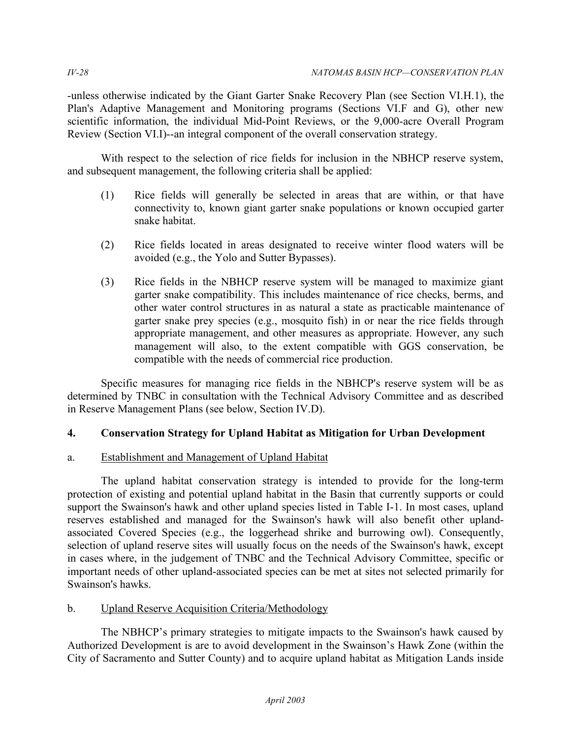-unless otherwise indicated by the Giant Garter Snake Recovery Plan (see Section VI.H.1), the Plan's Adaptive Management and Monitoring programs (Sections VI.F and G), other new scientific information, the individual Mid-Point Reviews, or the 9,000-acre Overall Program Review (Section VI.I)--an integral component of the overall conservation strategy.

 With respect to the selection of rice fields for inclusion in the NBHCP reserve system, and subsequent management, the following criteria shall be applied:

- $(1)$  connectivity to, known giant garter snake populations or known occupied garter Rice fields will generally be selected in areas that are within, or that have snake habitat.
- $(2)$  avoided (e.g., the Yolo and Sutter Bypasses). Rice fields located in areas designated to receive winter flood waters will be
- $(3)$  garter snake compatibility. This includes maintenance of rice checks, berms, and other water control structures in as natural a state as practicable maintenance of garter snake prey species (e.g., mosquito fish) in or near the rice fields through appropriate management, and other measures as appropriate. However, any such management will also, to the extent compatible with GGS conservation, be compatible with the needs of commercial rice production. Rice fields in the NBHCP reserve system will be managed to maximize giant

 Specific measures for managing rice fields in the NBHCP's reserve system will be as determined by TNBC in consultation with the Technical Advisory Committee and as described in Reserve Management Plans (see below, Section IV.D).

# **4. Conservation Strategy for Upland Habitat as Mitigation for Urban Development**

# a. Establishment and Management of Upland Habitat

 The upland habitat conservation strategy is intended to provide for the long-term protection of existing and potential upland habitat in the Basin that currently supports or could support the Swainson's hawk and other upland species listed in Table I-1. In most cases, upland reserves established and managed for the Swainson's hawk will also benefit other upland- associated Covered Species (e.g., the loggerhead shrike and burrowing owl). Consequently, selection of upland reserve sites will usually focus on the needs of the Swainson's hawk, except in cases where, in the judgement of TNBC and the Technical Advisory Committee, specific or important needs of other upland-associated species can be met at sites not selected primarily for Swainson's hawks.

## b. Upland Reserve Acquisition Criteria/Methodology

 The NBHCP's primary strategies to mitigate impacts to the Swainson's hawk caused by Authorized Development is are to avoid development in the Swainson's Hawk Zone (within the City of Sacramento and Sutter County) and to acquire upland habitat as Mitigation Lands inside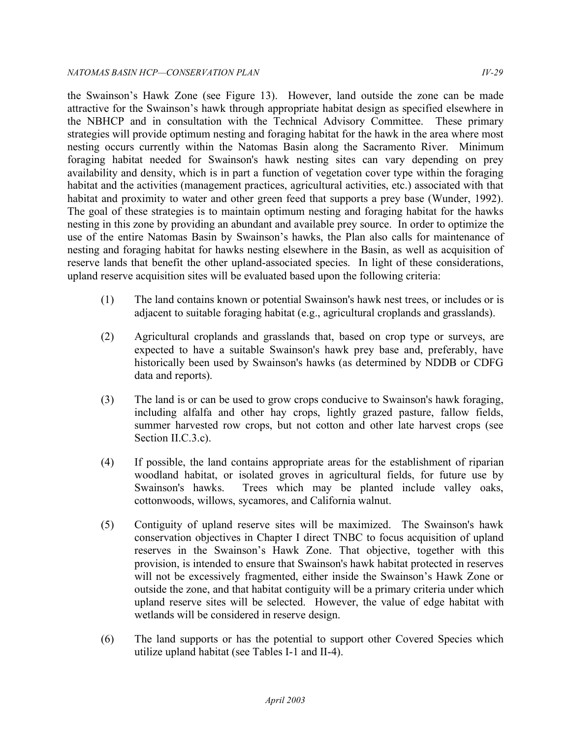the Swainson's Hawk Zone (see Figure 13). However, land outside the zone can be made attractive for the Swainson's hawk through appropriate habitat design as specified elsewhere in the NBHCP and in consultation with the Technical Advisory Committee. These primary strategies will provide optimum nesting and foraging habitat for the hawk in the area where most nesting occurs currently within the Natomas Basin along the Sacramento River. Minimum foraging habitat needed for Swainson's hawk nesting sites can vary depending on prey availability and density, which is in part a function of vegetation cover type within the foraging habitat and the activities (management practices, agricultural activities, etc.) associated with that habitat and proximity to water and other green feed that supports a prey base (Wunder, 1992). The goal of these strategies is to maintain optimum nesting and foraging habitat for the hawks nesting in this zone by providing an abundant and available prey source. In order to optimize the use of the entire Natomas Basin by Swainson's hawks, the Plan also calls for maintenance of nesting and foraging habitat for hawks nesting elsewhere in the Basin, as well as acquisition of reserve lands that benefit the other upland-associated species. In light of these considerations, upland reserve acquisition sites will be evaluated based upon the following criteria:

- $(1)$  adjacent to suitable foraging habitat (e.g., agricultural croplands and grasslands). The land contains known or potential Swainson's hawk nest trees, or includes or is
- $(2)$  expected to have a suitable Swainson's hawk prey base and, preferably, have historically been used by Swainson's hawks (as determined by NDDB or CDFG Agricultural croplands and grasslands that, based on crop type or surveys, are data and reports).
- $(3)$  including alfalfa and other hay crops, lightly grazed pasture, fallow fields, summer harvested row crops, but not cotton and other late harvest crops (see The land is or can be used to grow crops conducive to Swainson's hawk foraging, Section II.C.3.c).
- (4) If possible, the land contains appropriate areas for the establishment of riparian woodland habitat, or isolated groves in agricultural fields, for future use by Swainson's hawks. cottonwoods, willows, sycamores, and California walnut. Trees which may be planted include valley oaks,
- $(5)$  conservation objectives in Chapter I direct TNBC to focus acquisition of upland reserves in the Swainson's Hawk Zone. That objective, together with this provision, is intended to ensure that Swainson's hawk habitat protected in reserves will not be excessively fragmented, either inside the Swainson's Hawk Zone or outside the zone, and that habitat contiguity will be a primary criteria under which upland reserve sites will be selected. However, the value of edge habitat with wetlands will be considered in reserve design. (5) Contiguity of upland reserve sites will be maximized. The Swainson's hawk
- $(6)$  utilize upland habitat (see Tables I-1 and II-4). The land supports or has the potential to support other Covered Species which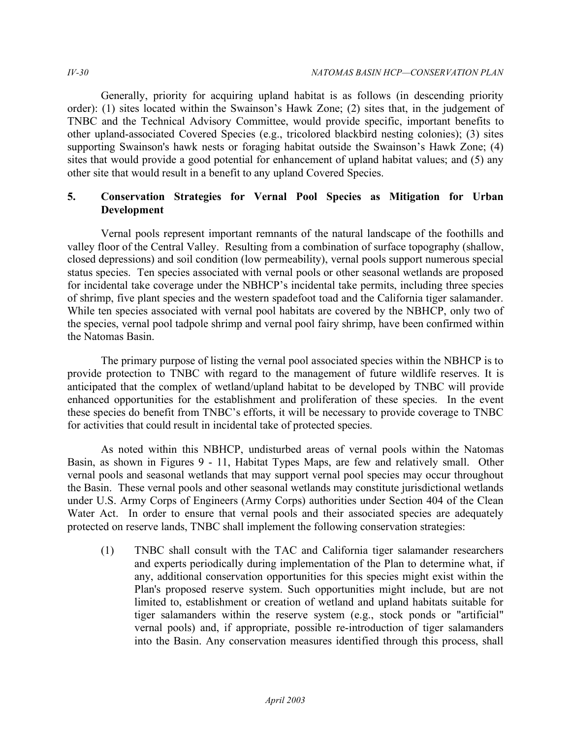Generally, priority for acquiring upland habitat is as follows (in descending priority order): (1) sites located within the Swainson's Hawk Zone; (2) sites that, in the judgement of TNBC and the Technical Advisory Committee, would provide specific, important benefits to other upland-associated Covered Species (e.g., tricolored blackbird nesting colonies); (3) sites supporting Swainson's hawk nests or foraging habitat outside the Swainson's Hawk Zone; (4) sites that would provide a good potential for enhancement of upland habitat values; and (5) any other site that would result in a benefit to any upland Covered Species.

# **5. Conservation Strategies for Vernal Pool Species as Mitigation for Urban Development**

 Vernal pools represent important remnants of the natural landscape of the foothills and valley floor of the Central Valley. Resulting from a combination of surface topography (shallow, closed depressions) and soil condition (low permeability), vernal pools support numerous special status species. Ten species associated with vernal pools or other seasonal wetlands are proposed for incidental take coverage under the NBHCP's incidental take permits, including three species of shrimp, five plant species and the western spadefoot toad and the California tiger salamander. While ten species associated with vernal pool habitats are covered by the NBHCP, only two of the species, vernal pool tadpole shrimp and vernal pool fairy shrimp, have been confirmed within the Natomas Basin.

 The primary purpose of listing the vernal pool associated species within the NBHCP is to provide protection to TNBC with regard to the management of future wildlife reserves. It is anticipated that the complex of wetland/upland habitat to be developed by TNBC will provide enhanced opportunities for the establishment and proliferation of these species. In the event these species do benefit from TNBC's efforts, it will be necessary to provide coverage to TNBC for activities that could result in incidental take of protected species.

 As noted within this NBHCP, undisturbed areas of vernal pools within the Natomas Basin, as shown in Figures 9 - 11, Habitat Types Maps, are few and relatively small. Other vernal pools and seasonal wetlands that may support vernal pool species may occur throughout the Basin. These vernal pools and other seasonal wetlands may constitute jurisdictional wetlands under U.S. Army Corps of Engineers (Army Corps) authorities under Section 404 of the Clean Water Act. In order to ensure that vernal pools and their associated species are adequately protected on reserve lands, TNBC shall implement the following conservation strategies:

 (1) TNBC shall consult with the TAC and California tiger salamander researchers and experts periodically during implementation of the Plan to determine what, if any, additional conservation opportunities for this species might exist within the Plan's proposed reserve system. Such opportunities might include, but are not limited to, establishment or creation of wetland and upland habitats suitable for tiger salamanders within the reserve system (e.g., stock ponds or "artificial" vernal pools) and, if appropriate, possible re-introduction of tiger salamanders into the Basin. Any conservation measures identified through this process, shall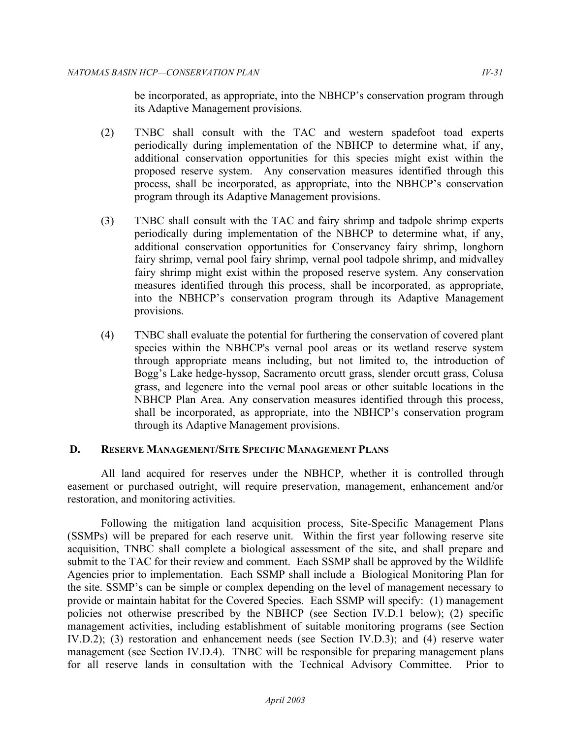be incorporated, as appropriate, into the NBHCP's conservation program through its Adaptive Management provisions.

- (2) TNBC shall consult with the TAC and western spadefoot toad experts periodically during implementation of the NBHCP to determine what, if any, additional conservation opportunities for this species might exist within the proposed reserve system. Any conservation measures identified through this process, shall be incorporated, as appropriate, into the NBHCP's conservation program through its Adaptive Management provisions.
- (3) TNBC shall consult with the TAC and fairy shrimp and tadpole shrimp experts periodically during implementation of the NBHCP to determine what, if any, additional conservation opportunities for Conservancy fairy shrimp, longhorn fairy shrimp, vernal pool fairy shrimp, vernal pool tadpole shrimp, and midvalley fairy shrimp might exist within the proposed reserve system. Any conservation measures identified through this process, shall be incorporated, as appropriate, into the NBHCP's conservation program through its Adaptive Management provisions.
- (4) TNBC shall evaluate the potential for furthering the conservation of covered plant species within the NBHCP's vernal pool areas or its wetland reserve system through appropriate means including, but not limited to, the introduction of Bogg's Lake hedge-hyssop, Sacramento orcutt grass, slender orcutt grass, Colusa grass, and legenere into the vernal pool areas or other suitable locations in the NBHCP Plan Area. Any conservation measures identified through this process, shall be incorporated, as appropriate, into the NBHCP's conservation program through its Adaptive Management provisions.

## **D. RESERVE MANAGEMENT/SITE SPECIFIC MANAGEMENT PLANS**

 All land acquired for reserves under the NBHCP, whether it is controlled through easement or purchased outright, will require preservation, management, enhancement and/or restoration, and monitoring activities.

 Following the mitigation land acquisition process, Site-Specific Management Plans (SSMPs) will be prepared for each reserve unit. Within the first year following reserve site acquisition, TNBC shall complete a biological assessment of the site, and shall prepare and submit to the TAC for their review and comment. Each SSMP shall be approved by the Wildlife Agencies prior to implementation. Each SSMP shall include a Biological Monitoring Plan for the site. SSMP's can be simple or complex depending on the level of management necessary to provide or maintain habitat for the Covered Species. Each SSMP will specify: (1) management policies not otherwise prescribed by the NBHCP (see Section IV.D.1 below); (2) specific management activities, including establishment of suitable monitoring programs (see Section IV.D.2); (3) restoration and enhancement needs (see Section IV.D.3); and (4) reserve water management (see Section IV.D.4). TNBC will be responsible for preparing management plans for all reserve lands in consultation with the Technical Advisory Committee. Prior to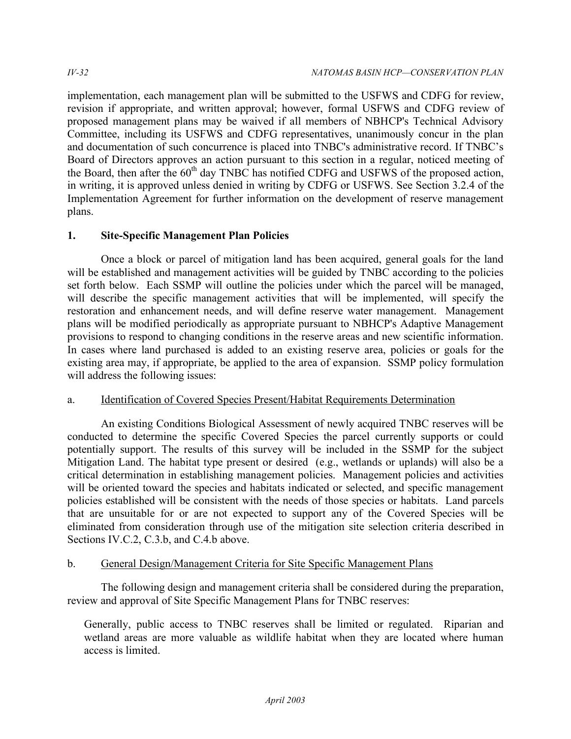implementation, each management plan will be submitted to the USFWS and CDFG for review, revision if appropriate, and written approval; however, formal USFWS and CDFG review of proposed management plans may be waived if all members of NBHCP's Technical Advisory Committee, including its USFWS and CDFG representatives, unanimously concur in the plan and documentation of such concurrence is placed into TNBC's administrative record. If TNBC's Board of Directors approves an action pursuant to this section in a regular, noticed meeting of the Board, then after the  $60<sup>th</sup>$  day TNBC has notified CDFG and USFWS of the proposed action, in writing, it is approved unless denied in writing by CDFG or USFWS. See Section 3.2.4 of the Implementation Agreement for further information on the development of reserve management plans.

# **1. Site-Specific Management Plan Policies**

 Once a block or parcel of mitigation land has been acquired, general goals for the land will be established and management activities will be guided by TNBC according to the policies set forth below. Each SSMP will outline the policies under which the parcel will be managed, will describe the specific management activities that will be implemented, will specify the restoration and enhancement needs, and will define reserve water management. Management plans will be modified periodically as appropriate pursuant to NBHCP's Adaptive Management provisions to respond to changing conditions in the reserve areas and new scientific information. In cases where land purchased is added to an existing reserve area, policies or goals for the existing area may, if appropriate, be applied to the area of expansion. SSMP policy formulation will address the following issues:

# Identification of Covered Species Present/Habitat Requirements Determination

a. Identification of Covered Species Present/Habitat Requirements Determination<br>An existing Conditions Biological Assessment of newly acquired TNBC reserves will be conducted to determine the specific Covered Species the parcel currently supports or could potentially support. The results of this survey will be included in the SSMP for the subject Mitigation Land. The habitat type present or desired (e.g., wetlands or uplands) will also be a critical determination in establishing management policies. Management policies and activities will be oriented toward the species and habitats indicated or selected, and specific management policies established will be consistent with the needs of those species or habitats. Land parcels that are unsuitable for or are not expected to support any of the Covered Species will be eliminated from consideration through use of the mitigation site selection criteria described in Sections IV.C.2, C.3.b, and C.4.b above.

# b. General Design/Management Criteria for Site Specific Management Plans

 The following design and management criteria shall be considered during the preparation, review and approval of Site Specific Management Plans for TNBC reserves:

 Generally, public access to TNBC reserves shall be limited or regulated. Riparian and wetland areas are more valuable as wildlife habitat when they are located where human access is limited.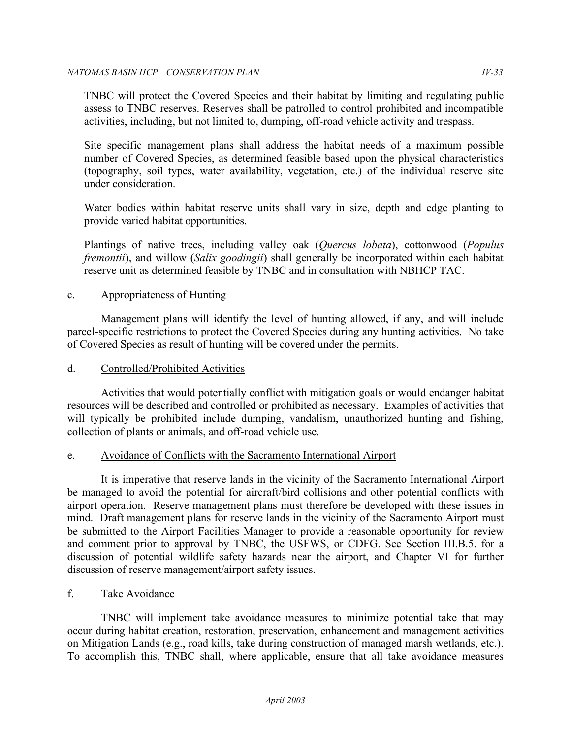TNBC will protect the Covered Species and their habitat by limiting and regulating public assess to TNBC reserves. Reserves shall be patrolled to control prohibited and incompatible activities, including, but not limited to, dumping, off-road vehicle activity and trespass.

 Site specific management plans shall address the habitat needs of a maximum possible number of Covered Species, as determined feasible based upon the physical characteristics (topography, soil types, water availability, vegetation, etc.) of the individual reserve site under consideration.

 Water bodies within habitat reserve units shall vary in size, depth and edge planting to provide varied habitat opportunities.

 Plantings of native trees, including valley oak (*Quercus lobata*), cottonwood (*Populus fremontii*), and willow (*Salix goodingii*) shall generally be incorporated within each habitat reserve unit as determined feasible by TNBC and in consultation with NBHCP TAC.

# c. Appropriateness of Hunting

 Management plans will identify the level of hunting allowed, if any, and will include parcel-specific restrictions to protect the Covered Species during any hunting activities. No take of Covered Species as result of hunting will be covered under the permits.

# d. Controlled/Prohibited Activities

 Activities that would potentially conflict with mitigation goals or would endanger habitat resources will be described and controlled or prohibited as necessary. Examples of activities that will typically be prohibited include dumping, vandalism, unauthorized hunting and fishing, collection of plants or animals, and off-road vehicle use.

# e. Avoidance of Conflicts with the Sacramento International Airport

 It is imperative that reserve lands in the vicinity of the Sacramento International Airport be managed to avoid the potential for aircraft/bird collisions and other potential conflicts with airport operation. Reserve management plans must therefore be developed with these issues in mind. Draft management plans for reserve lands in the vicinity of the Sacramento Airport must be submitted to the Airport Facilities Manager to provide a reasonable opportunity for review and comment prior to approval by TNBC, the USFWS, or CDFG. See Section III.B.5. for a discussion of potential wildlife safety hazards near the airport, and Chapter VI for further discussion of reserve management/airport safety issues.

# Take Avoidance

f. Take Avoidance<br>TNBC will implement take avoidance measures to minimize potential take that may occur during habitat creation, restoration, preservation, enhancement and management activities on Mitigation Lands (e.g., road kills, take during construction of managed marsh wetlands, etc.). To accomplish this, TNBC shall, where applicable, ensure that all take avoidance measures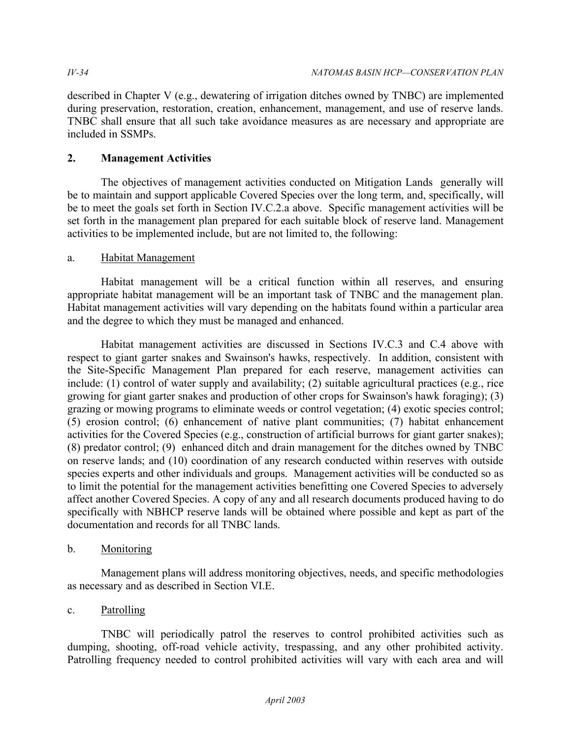described in Chapter V (e.g., dewatering of irrigation ditches owned by TNBC) are implemented during preservation, restoration, creation, enhancement, management, and use of reserve lands. TNBC shall ensure that all such take avoidance measures as are necessary and appropriate are included in SSMPs.

# **2. Management Activities**

 The objectives of management activities conducted on Mitigation Lands generally will be to maintain and support applicable Covered Species over the long term, and, specifically, will be to meet the goals set forth in Section IV.C.2.a above. Specific management activities will be set forth in the management plan prepared for each suitable block of reserve land. Management activities to be implemented include, but are not limited to, the following:

# a. Habitat Management

 Habitat management will be a critical function within all reserves, and ensuring appropriate habitat management will be an important task of TNBC and the management plan. Habitat management activities will vary depending on the habitats found within a particular area and the degree to which they must be managed and enhanced.

 Habitat management activities are discussed in Sections IV.C.3 and C.4 above with respect to giant garter snakes and Swainson's hawks, respectively. In addition, consistent with the Site-Specific Management Plan prepared for each reserve, management activities can include: (1) control of water supply and availability; (2) suitable agricultural practices (e.g., rice growing for giant garter snakes and production of other crops for Swainson's hawk foraging); (3) grazing or mowing programs to eliminate weeds or control vegetation; (4) exotic species control; (5) erosion control; (6) enhancement of native plant communities; (7) habitat enhancement activities for the Covered Species (e.g., construction of artificial burrows for giant garter snakes); (8) predator control; (9) enhanced ditch and drain management for the ditches owned by TNBC on reserve lands; and (10) coordination of any research conducted within reserves with outside species experts and other individuals and groups. Management activities will be conducted so as to limit the potential for the management activities benefitting one Covered Species to adversely affect another Covered Species. A copy of any and all research documents produced having to do specifically with NBHCP reserve lands will be obtained where possible and kept as part of the documentation and records for all TNBC lands.

# **Monitoring**

b. Monitoring<br>Management plans will address monitoring objectives, needs, and specific methodologies as necessary and as described in Section VI.E.

# Patrolling

c. Patrolling<br>TNBC will periodically patrol the reserves to control prohibited activities such as dumping, shooting, off-road vehicle activity, trespassing, and any other prohibited activity. Patrolling frequency needed to control prohibited activities will vary with each area and will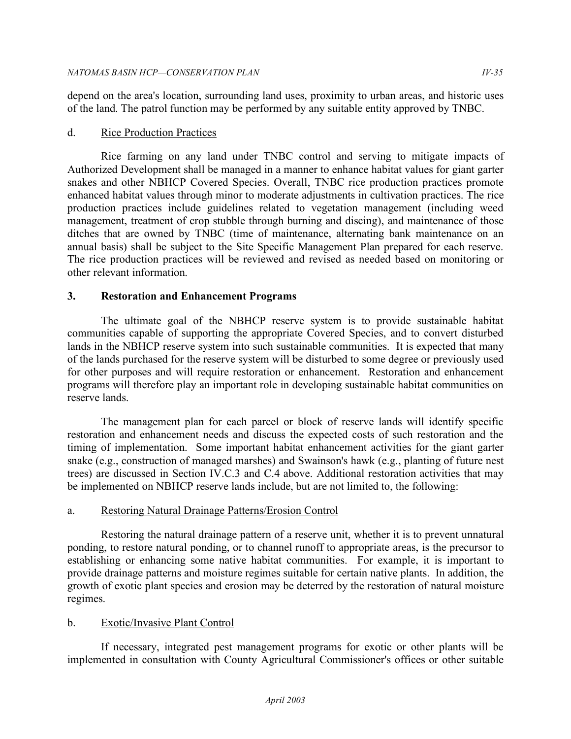depend on the area's location, surrounding land uses, proximity to urban areas, and historic uses of the land. The patrol function may be performed by any suitable entity approved by TNBC.

# d. Rice Production Practices

 Rice farming on any land under TNBC control and serving to mitigate impacts of Authorized Development shall be managed in a manner to enhance habitat values for giant garter snakes and other NBHCP Covered Species. Overall, TNBC rice production practices promote enhanced habitat values through minor to moderate adjustments in cultivation practices. The rice production practices include guidelines related to vegetation management (including weed management, treatment of crop stubble through burning and discing), and maintenance of those ditches that are owned by TNBC (time of maintenance, alternating bank maintenance on an annual basis) shall be subject to the Site Specific Management Plan prepared for each reserve. The rice production practices will be reviewed and revised as needed based on monitoring or other relevant information.

# **3. Restoration and Enhancement Programs**

 The ultimate goal of the NBHCP reserve system is to provide sustainable habitat communities capable of supporting the appropriate Covered Species, and to convert disturbed lands in the NBHCP reserve system into such sustainable communities. It is expected that many of the lands purchased for the reserve system will be disturbed to some degree or previously used for other purposes and will require restoration or enhancement. Restoration and enhancement programs will therefore play an important role in developing sustainable habitat communities on reserve lands.

 The management plan for each parcel or block of reserve lands will identify specific restoration and enhancement needs and discuss the expected costs of such restoration and the timing of implementation. Some important habitat enhancement activities for the giant garter snake (e.g., construction of managed marshes) and Swainson's hawk (e.g., planting of future nest trees) are discussed in Section IV.C.3 and C.4 above. Additional restoration activities that may be implemented on NBHCP reserve lands include, but are not limited to, the following:

# a. Restoring Natural Drainage Patterns/Erosion Control

 Restoring the natural drainage pattern of a reserve unit, whether it is to prevent unnatural ponding, to restore natural ponding, or to channel runoff to appropriate areas, is the precursor to establishing or enhancing some native habitat communities. For example, it is important to provide drainage patterns and moisture regimes suitable for certain native plants. In addition, the growth of exotic plant species and erosion may be deterred by the restoration of natural moisture regimes.

# b. Exotic/Invasive Plant Control

 If necessary, integrated pest management programs for exotic or other plants will be implemented in consultation with County Agricultural Commissioner's offices or other suitable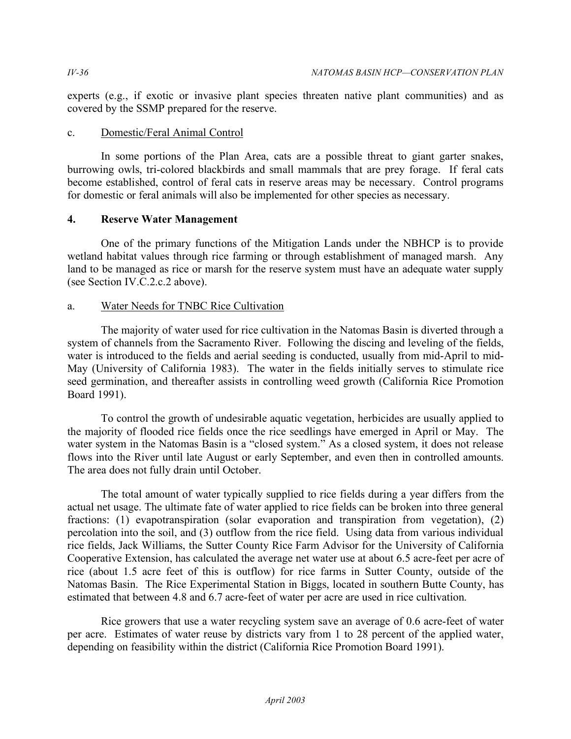experts (e.g., if exotic or invasive plant species threaten native plant communities) and as covered by the SSMP prepared for the reserve.

# c. Domestic/Feral Animal Control

 In some portions of the Plan Area, cats are a possible threat to giant garter snakes, burrowing owls, tri-colored blackbirds and small mammals that are prey forage. If feral cats become established, control of feral cats in reserve areas may be necessary. Control programs for domestic or feral animals will also be implemented for other species as necessary.

# **4. Reserve Water Management**

 One of the primary functions of the Mitigation Lands under the NBHCP is to provide wetland habitat values through rice farming or through establishment of managed marsh. Any land to be managed as rice or marsh for the reserve system must have an adequate water supply (see Section IV.C.2.c.2 above).

# a. Water Needs for TNBC Rice Cultivation

 The majority of water used for rice cultivation in the Natomas Basin is diverted through a system of channels from the Sacramento River. Following the discing and leveling of the fields, water is introduced to the fields and aerial seeding is conducted, usually from mid-April to mid- May (University of California 1983). The water in the fields initially serves to stimulate rice seed germination, and thereafter assists in controlling weed growth (California Rice Promotion Board 1991).

 To control the growth of undesirable aquatic vegetation, herbicides are usually applied to the majority of flooded rice fields once the rice seedlings have emerged in April or May. The water system in the Natomas Basin is a "closed system." As a closed system, it does not release flows into the River until late August or early September, and even then in controlled amounts. The area does not fully drain until October.

 The total amount of water typically supplied to rice fields during a year differs from the actual net usage. The ultimate fate of water applied to rice fields can be broken into three general fractions: (1) evapotranspiration (solar evaporation and transpiration from vegetation), (2) percolation into the soil, and (3) outflow from the rice field. Using data from various individual rice fields, Jack Williams, the Sutter County Rice Farm Advisor for the University of California Cooperative Extension, has calculated the average net water use at about 6.5 acre-feet per acre of rice (about 1.5 acre feet of this is outflow) for rice farms in Sutter County, outside of the Natomas Basin. The Rice Experimental Station in Biggs, located in southern Butte County, has estimated that between 4.8 and 6.7 acre-feet of water per acre are used in rice cultivation.

 Rice growers that use a water recycling system save an average of 0.6 acre-feet of water per acre. Estimates of water reuse by districts vary from 1 to 28 percent of the applied water, depending on feasibility within the district (California Rice Promotion Board 1991).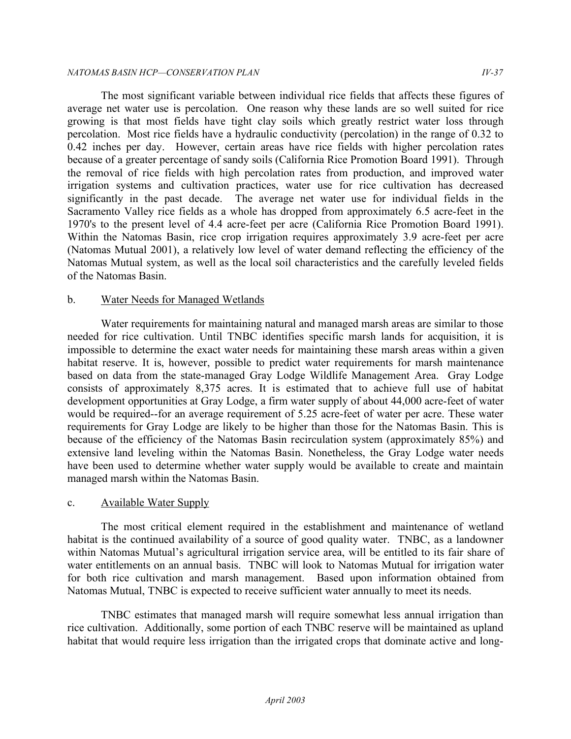#### *NATOMAS BASIN HCP—CONSERVATION PLAN IV-37*

 The most significant variable between individual rice fields that affects these figures of average net water use is percolation. One reason why these lands are so well suited for rice growing is that most fields have tight clay soils which greatly restrict water loss through percolation. Most rice fields have a hydraulic conductivity (percolation) in the range of 0.32 to 0.42 inches per day. However, certain areas have rice fields with higher percolation rates because of a greater percentage of sandy soils (California Rice Promotion Board 1991). Through the removal of rice fields with high percolation rates from production, and improved water irrigation systems and cultivation practices, water use for rice cultivation has decreased significantly in the past decade. Sacramento Valley rice fields as a whole has dropped from approximately 6.5 acre-feet in the 1970's to the present level of 4.4 acre-feet per acre (California Rice Promotion Board 1991). Within the Natomas Basin, rice crop irrigation requires approximately 3.9 acre-feet per acre (Natomas Mutual 2001), a relatively low level of water demand reflecting the efficiency of the Natomas Mutual system, as well as the local soil characteristics and the carefully leveled fields of the Natomas Basin. The average net water use for individual fields in the

# b. Water Needs for Managed Wetlands

 Water requirements for maintaining natural and managed marsh areas are similar to those needed for rice cultivation. Until TNBC identifies specific marsh lands for acquisition, it is impossible to determine the exact water needs for maintaining these marsh areas within a given habitat reserve. It is, however, possible to predict water requirements for marsh maintenance based on data from the state-managed Gray Lodge Wildlife Management Area. Gray Lodge consists of approximately 8,375 acres. It is estimated that to achieve full use of habitat development opportunities at Gray Lodge, a firm water supply of about 44,000 acre-feet of water would be required--for an average requirement of 5.25 acre-feet of water per acre. These water requirements for Gray Lodge are likely to be higher than those for the Natomas Basin. This is because of the efficiency of the Natomas Basin recirculation system (approximately 85%) and extensive land leveling within the Natomas Basin. Nonetheless, the Gray Lodge water needs have been used to determine whether water supply would be available to create and maintain managed marsh within the Natomas Basin.

# c. Available Water Supply

 The most critical element required in the establishment and maintenance of wetland habitat is the continued availability of a source of good quality water. TNBC, as a landowner within Natomas Mutual's agricultural irrigation service area, will be entitled to its fair share of water entitlements on an annual basis. TNBC will look to Natomas Mutual for irrigation water for both rice cultivation and marsh management. Based upon information obtained from Natomas Mutual, TNBC is expected to receive sufficient water annually to meet its needs.

 TNBC estimates that managed marsh will require somewhat less annual irrigation than rice cultivation. Additionally, some portion of each TNBC reserve will be maintained as upland habitat that would require less irrigation than the irrigated crops that dominate active and long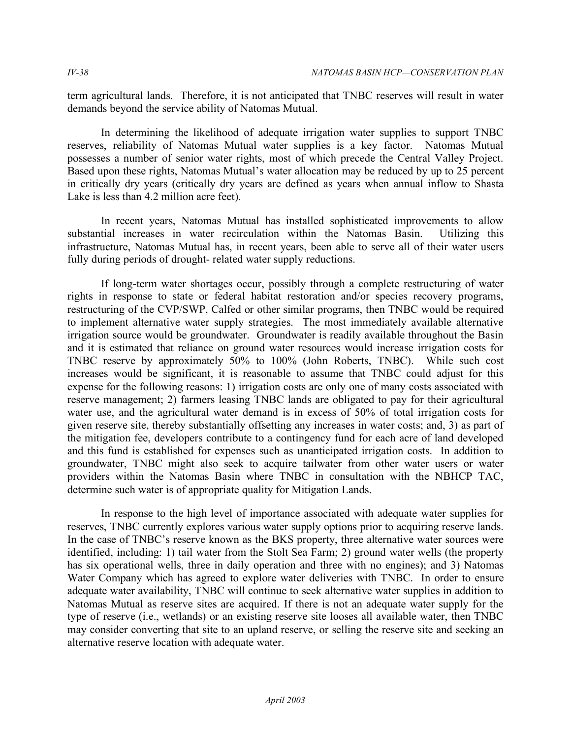term agricultural lands. Therefore, it is not anticipated that TNBC reserves will result in water demands beyond the service ability of Natomas Mutual.

 In determining the likelihood of adequate irrigation water supplies to support TNBC reserves, reliability of Natomas Mutual water supplies is a key factor. Natomas Mutual possesses a number of senior water rights, most of which precede the Central Valley Project. Based upon these rights, Natomas Mutual's water allocation may be reduced by up to 25 percent in critically dry years (critically dry years are defined as years when annual inflow to Shasta Lake is less than 4.2 million acre feet).

 In recent years, Natomas Mutual has installed sophisticated improvements to allow substantial increases in water recirculation within the Natomas Basin. Utilizing this infrastructure, Natomas Mutual has, in recent years, been able to serve all of their water users fully during periods of drought- related water supply reductions.

 If long-term water shortages occur, possibly through a complete restructuring of water rights in response to state or federal habitat restoration and/or species recovery programs, restructuring of the CVP/SWP, Calfed or other similar programs, then TNBC would be required to implement alternative water supply strategies. The most immediately available alternative irrigation source would be groundwater. Groundwater is readily available throughout the Basin and it is estimated that reliance on ground water resources would increase irrigation costs for TNBC reserve by approximately 50% to 100% (John Roberts, TNBC). While such cost increases would be significant, it is reasonable to assume that TNBC could adjust for this expense for the following reasons: 1) irrigation costs are only one of many costs associated with reserve management; 2) farmers leasing TNBC lands are obligated to pay for their agricultural water use, and the agricultural water demand is in excess of 50% of total irrigation costs for given reserve site, thereby substantially offsetting any increases in water costs; and, 3) as part of the mitigation fee, developers contribute to a contingency fund for each acre of land developed and this fund is established for expenses such as unanticipated irrigation costs. In addition to groundwater, TNBC might also seek to acquire tailwater from other water users or water providers within the Natomas Basin where TNBC in consultation with the NBHCP TAC, determine such water is of appropriate quality for Mitigation Lands.

 In response to the high level of importance associated with adequate water supplies for reserves, TNBC currently explores various water supply options prior to acquiring reserve lands. In the case of TNBC's reserve known as the BKS property, three alternative water sources were identified, including: 1) tail water from the Stolt Sea Farm; 2) ground water wells (the property has six operational wells, three in daily operation and three with no engines); and 3) Natomas Water Company which has agreed to explore water deliveries with TNBC. In order to ensure adequate water availability, TNBC will continue to seek alternative water supplies in addition to Natomas Mutual as reserve sites are acquired. If there is not an adequate water supply for the type of reserve (i.e., wetlands) or an existing reserve site looses all available water, then TNBC may consider converting that site to an upland reserve, or selling the reserve site and seeking an alternative reserve location with adequate water.